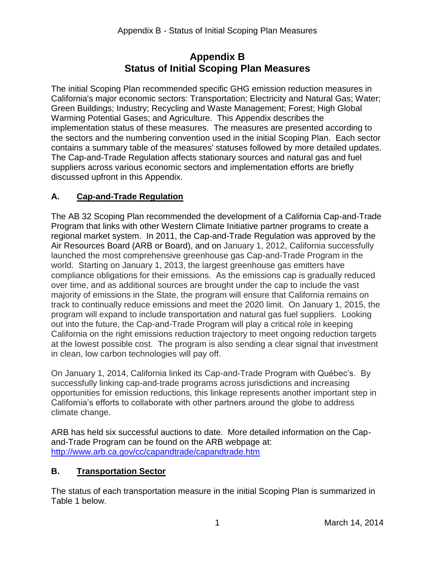## **Appendix B Status of Initial Scoping Plan Measures**

 California's major economic sectors: Transportation; Electricity and Natural Gas; Water; Green Buildings; Industry; Recycling and Waste Management; Forest; High Global Warming Potential Gases; and Agriculture. This Appendix describes the implementation status of these measures. The measures are presented according to the sectors and the numbering convention used in the initial Scoping Plan. Each sector contains a summary table of the measures' statuses followed by more detailed updates. The initial Scoping Plan recommended specific GHG emission reduction measures in The Cap-and-Trade Regulation affects stationary sources and natural gas and fuel suppliers across various economic sectors and implementation efforts are briefly discussed upfront in this Appendix.

## **A. Cap-and-Trade Regulation**

 The AB 32 Scoping Plan recommended the development of a California Cap-and-Trade Program that links with other Western Climate Initiative partner programs to create a regional market system. In 2011, the Cap-and-Trade Regulation was approved by the Air Resources Board (ARB or Board), and on January 1, 2012, California successfully launched the most comprehensive greenhouse gas Cap-and-Trade Program in the world. Starting on January 1, 2013, the largest greenhouse gas emitters have compliance obligations for their emissions. As the emissions cap is gradually reduced program will expand to include transportation and natural gas fuel suppliers. Looking out into the future, the Cap-and-Trade Program will play a critical role in keeping at the lowest possible cost. The program is also sending a clear signal that investment over time, and as additional sources are brought under the cap to include the vast majority of emissions in the State, the program will ensure that California remains on track to continually reduce emissions and meet the 2020 limit. On January 1, 2015, the California on the right emissions reduction trajectory to meet ongoing reduction targets in clean, low carbon technologies will pay off.

 On January 1, 2014, California linked its Cap-and-Trade Program with Québec's. By climate change. successfully linking cap-and-trade programs across jurisdictions and increasing opportunities for emission reductions, this linkage represents another important step in California's efforts to collaborate with other partners around the globe to address

climate change.<br>ARB has held six successful auctions to date. More detailed information on the Cap- and-Trade Program can be found on the ARB webpage at: <http://www.arb.ca.gov/cc/capandtrade/capandtrade.htm>

## **B. Transportation Sector**

 Table 1 below. The status of each transportation measure in the initial Scoping Plan is summarized in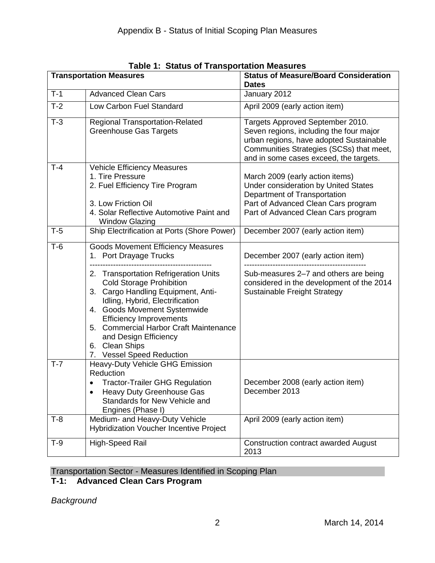| <b>Transportation Measures</b> |                                                                                                                                                                                                                                                                                                                                       | <b>Status of Measure/Board Consideration</b><br><b>Dates</b>                                                                                                                                                 |
|--------------------------------|---------------------------------------------------------------------------------------------------------------------------------------------------------------------------------------------------------------------------------------------------------------------------------------------------------------------------------------|--------------------------------------------------------------------------------------------------------------------------------------------------------------------------------------------------------------|
| $T-1$                          | <b>Advanced Clean Cars</b>                                                                                                                                                                                                                                                                                                            | January 2012                                                                                                                                                                                                 |
| $T-2$                          | Low Carbon Fuel Standard                                                                                                                                                                                                                                                                                                              | April 2009 (early action item)                                                                                                                                                                               |
| $T-3$                          | <b>Regional Transportation-Related</b><br><b>Greenhouse Gas Targets</b>                                                                                                                                                                                                                                                               | Targets Approved September 2010.<br>Seven regions, including the four major<br>urban regions, have adopted Sustainable<br>Communities Strategies (SCSs) that meet,<br>and in some cases exceed, the targets. |
| $T-4$                          | <b>Vehicle Efficiency Measures</b><br>1. Tire Pressure<br>2. Fuel Efficiency Tire Program<br>3. Low Friction Oil<br>4. Solar Reflective Automotive Paint and<br><b>Window Glazing</b>                                                                                                                                                 | March 2009 (early action items)<br><b>Under consideration by United States</b><br>Department of Transportation<br>Part of Advanced Clean Cars program<br>Part of Advanced Clean Cars program                 |
| $T-5$                          | Ship Electrification at Ports (Shore Power)                                                                                                                                                                                                                                                                                           | December 2007 (early action item)                                                                                                                                                                            |
| $T-6$                          | <b>Goods Movement Efficiency Measures</b><br>1. Port Drayage Trucks                                                                                                                                                                                                                                                                   | December 2007 (early action item)                                                                                                                                                                            |
|                                | 2. Transportation Refrigeration Units<br><b>Cold Storage Prohibition</b><br>3. Cargo Handling Equipment, Anti-<br>Idling, Hybrid, Electrification<br>4. Goods Movement Systemwide<br><b>Efficiency Improvements</b><br>5. Commercial Harbor Craft Maintenance<br>and Design Efficiency<br>6. Clean Ships<br>7. Vessel Speed Reduction | Sub-measures 2-7 and others are being<br>considered in the development of the 2014<br>Sustainable Freight Strategy                                                                                           |
| $T-7$                          | Heavy-Duty Vehicle GHG Emission<br>Reduction<br><b>Tractor-Trailer GHG Regulation</b>                                                                                                                                                                                                                                                 | December 2008 (early action item)                                                                                                                                                                            |
|                                | Heavy Duty Greenhouse Gas<br>Standards for New Vehicle and<br>Engines (Phase I)                                                                                                                                                                                                                                                       | December 2013                                                                                                                                                                                                |
| $T-8$                          | Medium- and Heavy-Duty Vehicle<br><b>Hybridization Voucher Incentive Project</b>                                                                                                                                                                                                                                                      | April 2009 (early action item)                                                                                                                                                                               |
| $T-9$                          | High-Speed Rail                                                                                                                                                                                                                                                                                                                       | <b>Construction contract awarded August</b><br>2013                                                                                                                                                          |

**Table 1: Status of Transportation Measures** 

#### Transportation Sector - Measures Identified in Scoping Plan

#### **T-1: Advanced Clean Cars Program**

*Background*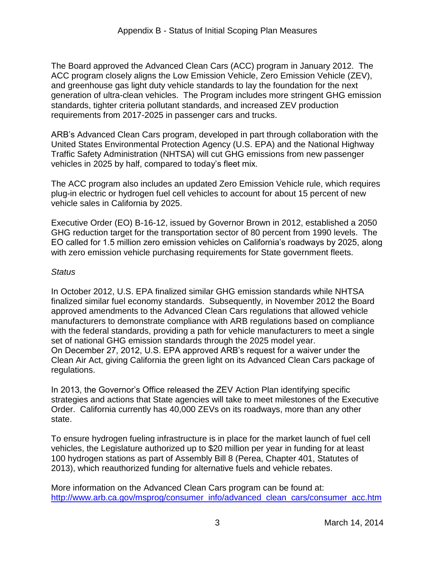The Board approved the Advanced Clean Cars (ACC) program in January 2012. The and greenhouse gas light duty vehicle standards to lay the foundation for the next requirements from 2017-2025 in passenger cars and trucks. ACC program closely aligns the Low Emission Vehicle, Zero Emission Vehicle (ZEV), generation of ultra-clean vehicles. The Program includes more stringent GHG emission standards, tighter criteria pollutant standards, and increased ZEV production

requirements from 2017-2025 in passenger cars and trucks.<br>ARB's Advanced Clean Cars program, developed in part through collaboration with the United States Environmental Protection Agency (U.S. EPA) and the National Highway Traffic Safety Administration (NHTSA) will cut GHG emissions from new passenger vehicles in 2025 by half, compared to today's fleet mix.

 The ACC program also includes an updated Zero Emission Vehicle rule, which requires plug-in electric or hydrogen fuel cell vehicles to account for about 15 percent of new vehicle sales in California by 2025.

 Executive Order (EO) B-16-12, issued by Governor Brown in 2012, established a 2050 EO called for 1.5 million zero emission vehicles on California's roadways by 2025, along GHG reduction target for the transportation sector of 80 percent from 1990 levels. The with zero emission vehicle purchasing requirements for State government fleets.

## *Status*

 finalized similar fuel economy standards. Subsequently, in November 2012 the Board In October 2012, U.S. EPA finalized similar GHG emission standards while NHTSA approved amendments to the Advanced Clean Cars regulations that allowed vehicle manufacturers to demonstrate compliance with ARB regulations based on compliance with the federal standards, providing a path for vehicle manufacturers to meet a single set of national GHG emission standards through the 2025 model year. On December 27, 2012, U.S. EPA approved ARB's request for a waiver under the Clean Air Act, giving California the green light on its Advanced Clean Cars package of regulations.

 strategies and actions that State agencies will take to meet milestones of the Executive In 2013, the Governor's Office released the ZEV Action Plan identifying specific Order. California currently has 40,000 ZEVs on its roadways, more than any other state.

 To ensure hydrogen fueling infrastructure is in place for the market launch of fuel cell 100 hydrogen stations as part of Assembly Bill 8 (Perea, Chapter 401, Statutes of vehicles, the Legislature authorized up to \$20 million per year in funding for at least 2013), which reauthorized funding for alternative fuels and vehicle rebates.

 More information on the Advanced Clean Cars program can be found at: http://www.arb.ca.gov/msprog/consumer\_info/advanced\_clean\_cars/consumer\_acc.htm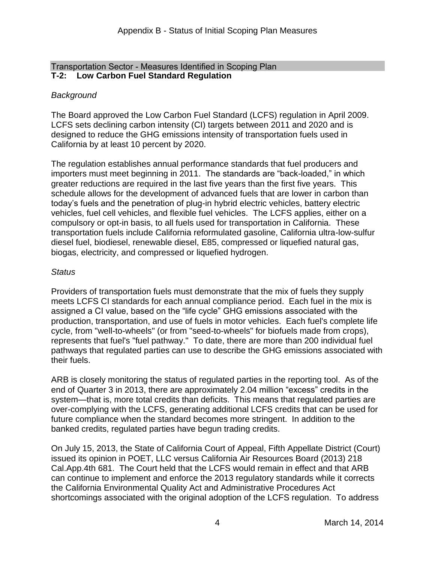#### $T-2$ : Transportation Sector - Measures Identified in Scoping Plan **Low Carbon Fuel Standard Regulation**

## *Background*

 The Board approved the Low Carbon Fuel Standard (LCFS) regulation in April 2009. LCFS sets declining carbon intensity (CI) targets between 2011 and 2020 and is designed to reduce the GHG emissions intensity of transportation fuels used in California by at least 10 percent by 2020.

 greater reductions are required in the last five years than the first five years. This today's fuels and the penetration of plug-in hybrid electric vehicles, battery electric vehicles, fuel cell vehicles, and flexible fuel vehicles. The LCFS applies, either on a compulsory or opt-in basis, to all fuels used for transportation in California. These The regulation establishes annual performance standards that fuel producers and importers must meet beginning in 2011. The standards are "back-loaded," in which schedule allows for the development of advanced fuels that are lower in carbon than transportation fuels include California reformulated gasoline, California ultra-low-sulfur diesel fuel, biodiesel, renewable diesel, E85, compressed or liquefied natural gas, biogas, electricity, and compressed or liquefied hydrogen.

#### *Status*

 assigned a CI value, based on the "life cycle" GHG emissions associated with the production, transportation, and use of fuels in motor vehicles. Each fuel's complete life represents that fuel's "fuel pathway." To date, there are more than 200 individual fuel their fuels. Providers of transportation fuels must demonstrate that the mix of fuels they supply meets LCFS CI standards for each annual compliance period. Each fuel in the mix is cycle, from "well-to-wheels" (or from "seed-to-wheels" for biofuels made from crops), pathways that regulated parties can use to describe the GHG emissions associated with

 end of Quarter 3 in 2013, there are approximately 2.04 million "excess" credits in the system—that is, more total credits than deficits. This means that regulated parties are over-complying with the LCFS, generating additional LCFS credits that can be used for future compliance when the standard becomes more stringent. In addition to the ARB is closely monitoring the status of regulated parties in the reporting tool. As of the banked credits, regulated parties have begun trading credits.

 Cal.App.4th 681. The Court held that the LCFS would remain in effect and that ARB can continue to implement and enforce the 2013 regulatory standards while it corrects shortcomings associated with the original adoption of the LCFS regulation. To address On July 15, 2013, the State of California Court of Appeal, Fifth Appellate District (Court) issued its opinion in POET, LLC versus California Air Resources Board (2013) 218 the California Environmental Quality Act and Administrative Procedures Act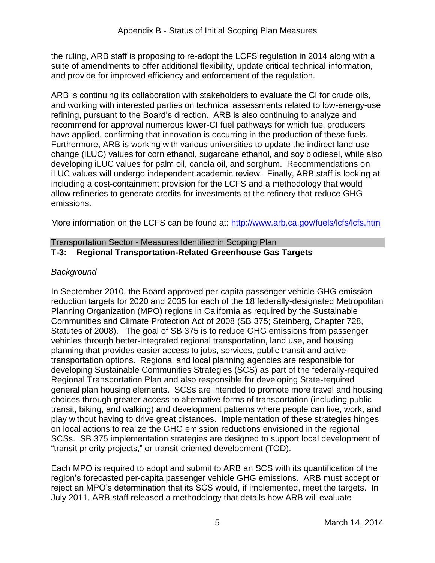and provide for improved efficiency and enforcement of the regulation. the ruling, ARB staff is proposing to re-adopt the LCFS regulation in 2014 along with a suite of amendments to offer additional flexibility, update critical technical information,

 have applied, confirming that innovation is occurring in the production of these fuels. iLUC values will undergo independent academic review. Finally, ARB staff is looking at including a cost-containment provision for the LCFS and a methodology that would ARB is continuing its collaboration with stakeholders to evaluate the CI for crude oils, and working with interested parties on technical assessments related to low-energy-use refining, pursuant to the Board's direction. ARB is also continuing to analyze and recommend for approval numerous lower-CI fuel pathways for which fuel producers Furthermore, ARB is working with various universities to update the indirect land use change (iLUC) values for corn ethanol, sugarcane ethanol, and soy biodiesel, while also developing iLUC values for palm oil, canola oil, and sorghum. Recommendations on allow refineries to generate credits for investments at the refinery that reduce GHG emissions.

More information on the LCFS can be found at: http://www.arb.ca.gov/fuels/lcfs/lcfs.htm

#### Transportation Sector - Measures Identified in Scoping Plan **T-3: Regional Transportation-Related Greenhouse Gas Targets**

## *Background*

 In September 2010, the Board approved per-capita passenger vehicle GHG emission reduction targets for 2020 and 2035 for each of the 18 federally-designated Metropolitan Communities and Climate Protection Act of 2008 (SB 375; Steinberg, Chapter 728, vehicles through better-integrated regional transportation, land use, and housing planning that provides easier access to jobs, services, public transit and active general plan housing elements. SCSs are intended to promote more travel and housing play without having to drive great distances. Implementation of these strategies hinges SCSs. SB 375 implementation strategies are designed to support local development of Planning Organization (MPO) regions in California as required by the Sustainable Statutes of 2008). The goal of SB 375 is to reduce GHG emissions from passenger transportation options. Regional and local planning agencies are responsible for developing Sustainable Communities Strategies (SCS) as part of the federally-required Regional Transportation Plan and also responsible for developing State-required choices through greater access to alternative forms of transportation (including public transit, biking, and walking) and development patterns where people can live, work, and on local actions to realize the GHG emission reductions envisioned in the regional "transit priority projects," or transit-oriented development (TOD).

 Each MPO is required to adopt and submit to ARB an SCS with its quantification of the region's forecasted per-capita passenger vehicle GHG emissions. ARB must accept or reject an MPO's determination that its SCS would, if implemented, meet the targets. In July 2011, ARB staff released a methodology that details how ARB will evaluate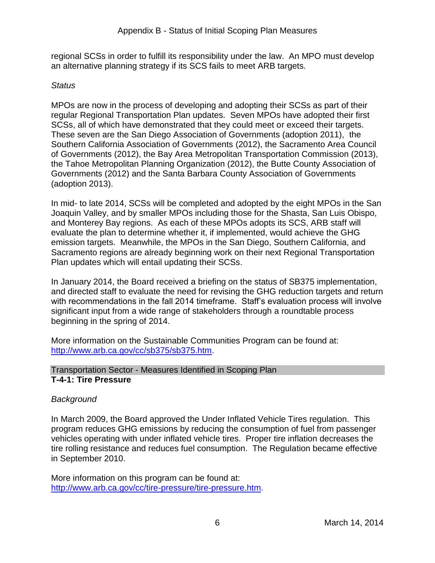an alternative planning strategy if its SCS fails to meet ARB targets. regional SCSs in order to fulfill its responsibility under the law. An MPO must develop

#### *Status*

 MPOs are now in the process of developing and adopting their SCSs as part of their regular Regional Transportation Plan updates. Seven MPOs have adopted their first SCSs, all of which have demonstrated that they could meet or exceed their targets. SCSs, all of which have demonstrated that they could meet or exceed their targets.<br>These seven are the San Diego Association of Governments (adoption 2011), the of Governments (2012), the Bay Area Metropolitan Transportation Commission (2013), Governments (2012) and the Santa Barbara County Association of Governments (adoption 2013). Southern California Association of Governments (2012), the Sacramento Area Council the Tahoe Metropolitan Planning Organization (2012), the Butte County Association of

 In mid- to late 2014, SCSs will be completed and adopted by the eight MPOs in the San and Monterey Bay regions. As each of these MPOs adopts its SCS, ARB staff will evaluate the plan to determine whether it, if implemented, would achieve the GHG emission targets. Meanwhile, the MPOs in the San Diego, Southern California, and Joaquin Valley, and by smaller MPOs including those for the Shasta, San Luis Obispo, Sacramento regions are already beginning work on their next Regional Transportation Plan updates which will entail updating their SCSs.

 with recommendations in the fall 2014 timeframe. Staff's evaluation process will involve In January 2014, the Board received a briefing on the status of SB375 implementation, and directed staff to evaluate the need for revising the GHG reduction targets and return significant input from a wide range of stakeholders through a roundtable process beginning in the spring of 2014.

 More information on the Sustainable Communities Program can be found at: [http://www.arb.ca.gov/cc/sb375/sb375.htm.](http://www.arb.ca.gov/cc/sb375/sb375.htm)

#### Transportation Sector - Measures Identified in Scoping Plan **T-4-1: Tire Pressure**

## *Background*

 In March 2009, the Board approved the Under Inflated Vehicle Tires regulation. This program reduces GHG emissions by reducing the consumption of fuel from passenger vehicles operating with under inflated vehicle tires. Proper tire inflation decreases the tire rolling resistance and reduces fuel consumption. The Regulation became effective in September 2010.

 More information on this program can be found at: [http://www.arb.ca.gov/cc/tire-pressure/tire-pressure.htm.](http://www.arb.ca.gov/cc/tire-pressure/tire-pressure.htm)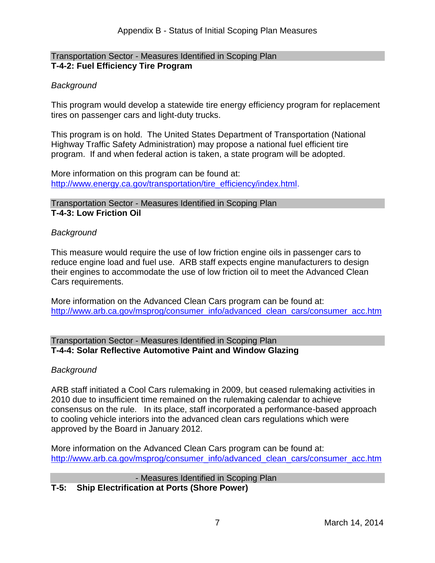#### Transportation Sector - Measures Identified in Scoping Plan **T-4-2: Fuel Efficiency Tire Program**

#### *Background*

This program would develop a statewide tire energy efficiency program for replacement tires on passenger cars and light-duty trucks.

This program is on hold. The United States Department of Transportation (National Highway Traffic Safety Administration) may propose a national fuel efficient tire program. If and when federal action is taken, a state program will be adopted.

More information on this program can be found at: [http://www.energy.ca.gov/transportation/tire\\_efficiency/index.html.](http://www.energy.ca.gov/transportation/tire_efficiency/index.html)

Transportation Sector - Measures Identified in Scoping Plan **T-4-3: Low Friction Oil** 

#### *Background*

This measure would require the use of low friction engine oils in passenger cars to reduce engine load and fuel use. ARB staff expects engine manufacturers to design their engines to accommodate the use of low friction oil to meet the Advanced Clean Cars requirements.

More information on the Advanced Clean Cars program can be found at: [http://www.arb.ca.gov/msprog/consumer\\_info/advanced\\_clean\\_cars/consumer\\_acc.htm](http://www.arb.ca.gov/msprog/consumer_info/advanced_clean_cars/consumer_acc.htm)

#### Transportation Sector - Measures Identified in Scoping Plan **T-4-4: Solar Reflective Automotive Paint and Window Glazing**

#### *Background*

ARB staff initiated a Cool Cars rulemaking in 2009, but ceased rulemaking activities in 2010 due to insufficient time remained on the rulemaking calendar to achieve consensus on the rule. In its place, staff incorporated a performance-based approach to cooling vehicle interiors into the advanced clean cars regulations which were approved by the Board in January 2012.

More information on the Advanced Clean Cars program can be found at: [http://www.arb.ca.gov/msprog/consumer\\_info/advanced\\_clean\\_cars/consumer\\_acc.htm](http://www.arb.ca.gov/msprog/consumer_info/advanced_clean_cars/consumer_acc.htm)

- Measures Identified in Scoping Plan **T-5: Ship Electrification at Ports (Shore Power)**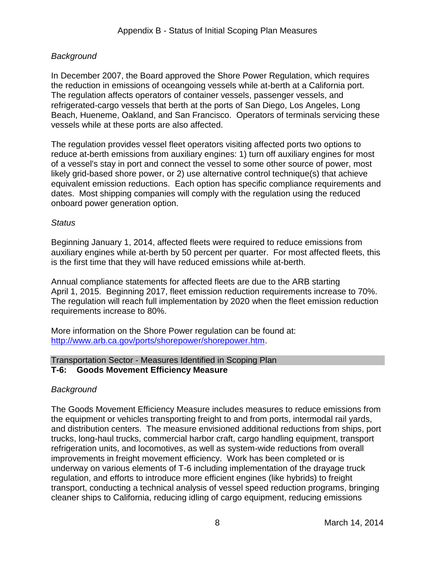## *Background*

the reduction in emissions of oceangoing vessels while at-berth at a California port. vessels while at these ports are also affected. In December 2007, the Board approved the Shore Power Regulation, which requires The requlation affects operators of container vessels, passenger vessels, and refrigerated-cargo vessels that berth at the ports of San Diego, Los Angeles, Long Beach, Hueneme, Oakland, and San Francisco. Operators of terminals servicing these

 equivalent emission reductions. Each option has specific compliance requirements and The regulation provides vessel fleet operators visiting affected ports two options to reduce at-berth emissions from auxiliary engines: 1) turn off auxiliary engines for most of a vessel's stay in port and connect the vessel to some other source of power, most likely grid-based shore power, or 2) use alternative control technique(s) that achieve dates. Most shipping companies will comply with the regulation using the reduced onboard power generation option.

#### *Status*

is the first time that they will have reduced emissions while at-berth. Beginning January 1, 2014, affected fleets were required to reduce emissions from auxiliary engines while at-berth by 50 percent per quarter. For most affected fleets, this

 April 1, 2015. Beginning 2017, fleet emission reduction requirements increase to 70%. The regulation will reach full implementation by 2020 when the fleet emission reduction requirements increase to 80%. Annual compliance statements for affected fleets are due to the ARB starting

More information on the Shore Power regulation can be found at: [http://www.arb.ca.gov/ports/shorepower/shorepower.htm.](http://www.arb.ca.gov/ports/shorepower/shorepower.htm)

## Transportation Sector - Measures Identified in Scoping Plan

#### **T-6: Goods Movement Efficiency Measure**

#### *Background*

 the equipment or vehicles transporting freight to and from ports, intermodal rail yards, refrigeration units, and locomotives, as well as system-wide reductions from overall The Goods Movement Efficiency Measure includes measures to reduce emissions from and distribution centers. The measure envisioned additional reductions from ships, port trucks, long-haul trucks, commercial harbor craft, cargo handling equipment, transport improvements in freight movement efficiency. Work has been completed or is underway on various elements of T-6 including implementation of the drayage truck regulation, and efforts to introduce more efficient engines (like hybrids) to freight transport, conducting a technical analysis of vessel speed reduction programs, bringing cleaner ships to California, reducing idling of cargo equipment, reducing emissions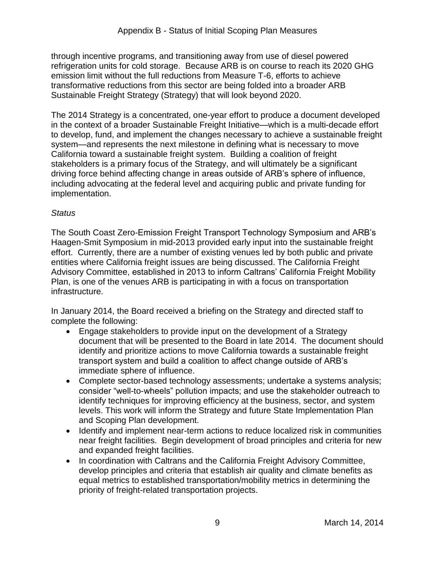refrigeration units for cold storage. Because ARB is on course to reach its 2020 GHG emission limit without the full reductions from Measure T-6, efforts to achieve transformative reductions from this sector are being folded into a broader ARB Sustainable Freight Strategy (Strategy) that will look beyond 2020. through incentive programs, and transitioning away from use of diesel powered

 in the context of a broader Sustainable Freight Initiative—which is a multi-decade effort including advocating at the federal level and acquiring public and private funding for The 2014 Strategy is a concentrated, one-year effort to produce a document developed to develop, fund, and implement the changes necessary to achieve a sustainable freight system—and represents the next milestone in defining what is necessary to move California toward a sustainable freight system. Building a coalition of freight stakeholders is a primary focus of the Strategy, and will ultimately be a significant driving force behind affecting change in areas outside of ARB's sphere of influence, implementation.

## *Status*

 effort. Currently, there are a number of existing venues led by both public and private The South Coast Zero-Emission Freight Transport Technology Symposium and ARB's Haagen-Smit Symposium in mid-2013 provided early input into the sustainable freight entities where California freight issues are being discussed. The California Freight Advisory Committee, established in 2013 to inform Caltrans' California Freight Mobility Plan, is one of the venues ARB is participating in with a focus on transportation infrastructure.

 complete the following: In January 2014, the Board received a briefing on the Strategy and directed staff to

- Engage stakeholders to provide input on the development of a Strategy document that will be presented to the Board in late 2014. The document should transport system and build a coalition to affect change outside of ARB's identify and prioritize actions to move California towards a sustainable freight immediate sphere of influence.
- levels. This work will inform the Strategy and future State Implementation Plan Complete sector-based technology assessments; undertake a systems analysis; consider "well-to-wheels" pollution impacts; and use the stakeholder outreach to identify techniques for improving efficiency at the business, sector, and system and Scoping Plan development.
- near freight facilities. Begin development of broad principles and criteria for new and expanded freight facilities. • Identify and implement near-term actions to reduce localized risk in communities
- develop principles and criteria that establish air quality and climate benefits as • In coordination with Caltrans and the California Freight Advisory Committee, equal metrics to established transportation/mobility metrics in determining the priority of freight-related transportation projects.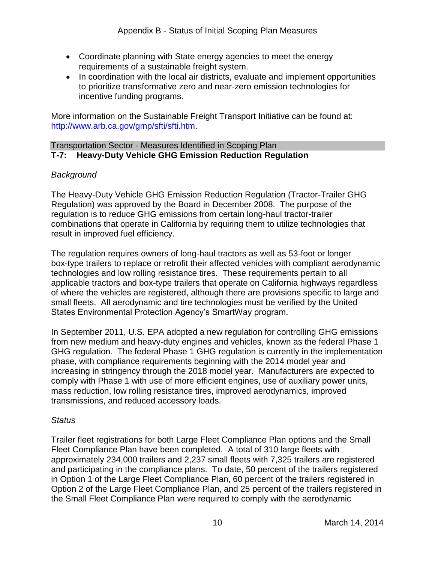- Coordinate planning with State energy agencies to meet the energy requirements of a sustainable freight system.
- to prioritize transformative zero and near-zero emission technologies for • In coordination with the local air districts, evaluate and implement opportunities incentive funding programs.

 More information on the Sustainable Freight Transport Initiative can be found at: [http://www.arb.ca.gov/gmp/sfti/sfti.htm.](http://www.arb.ca.gov/gmp/sfti/sfti.htm)

#### Transportation Sector - Measures Identified in Scoping Plan **T-7: Heavy-Duty Vehicle GHG Emission Reduction Regulation**

## *Background*

 Regulation) was approved by the Board in December 2008. The purpose of the combinations that operate in California by requiring them to utilize technologies that The Heavy-Duty Vehicle GHG Emission Reduction Regulation (Tractor-Trailer GHG regulation is to reduce GHG emissions from certain long-haul tractor-trailer result in improved fuel efficiency.

The regulation requires owners of long-haul tractors as well as 53-foot or longer technologies and low rolling resistance tires. These requirements pertain to all small fleets. All aerodynamic and tire technologies must be verified by the United box-type trailers to replace or retrofit their affected vehicles with compliant aerodynamic applicable tractors and box-type trailers that operate on California highways regardless of where the vehicles are registered, although there are provisions specific to large and States Environmental Protection Agency's SmartWay program.

 from new medium and heavy-duty engines and vehicles, known as the federal Phase 1 GHG regulation. The federal Phase 1 GHG regulation is currently in the implementation phase, with compliance requirements beginning with the 2014 model year and increasing in stringency through the 2018 model year. Manufacturers are expected to In September 2011, U.S. EPA adopted a new regulation for controlling GHG emissions comply with Phase 1 with use of more efficient engines, use of auxiliary power units, mass reduction, low rolling resistance tires, improved aerodynamics, improved transmissions, and reduced accessory loads.

#### *Status*

 Trailer fleet registrations for both Large Fleet Compliance Plan options and the Small Fleet Compliance Plan have been completed. A total of 310 large fleets with Option 2 of the Large Fleet Compliance Plan, and 25 percent of the trailers registered in the Small Fleet Compliance Plan were required to comply with the aerodynamic approximately 234,000 trailers and 2,237 small fleets with 7,325 trailers are registered and participating in the compliance plans. To date, 50 percent of the trailers registered in Option 1 of the Large Fleet Compliance Plan, 60 percent of the trailers registered in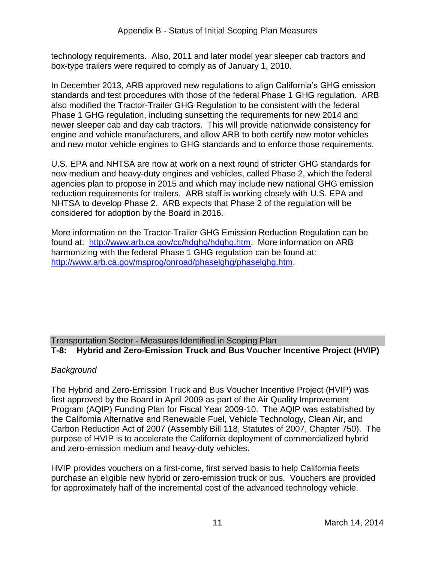technology requirements. Also, 2011 and later model year sleeper cab tractors and box-type trailers were required to comply as of January 1, 2010.

 In December 2013, ARB approved new regulations to align California's GHG emission standards and test procedures with those of the federal Phase 1 GHG regulation. ARB Phase 1 GHG regulation, including sunsetting the requirements for new 2014 and also modified the Tractor-Trailer GHG Regulation to be consistent with the federal newer sleeper cab and day cab tractors. This will provide nationwide consistency for engine and vehicle manufacturers, and allow ARB to both certify new motor vehicles and new motor vehicle engines to GHG standards and to enforce those requirements.

 new medium and heavy-duty engines and vehicles, called Phase 2, which the federal reduction requirements for trailers. ARB staff is working closely with U.S. EPA and NHTSA to develop Phase 2. ARB expects that Phase 2 of the regulation will be U.S. EPA and NHTSA are now at work on a next round of stricter GHG standards for agencies plan to propose in 2015 and which may include new national GHG emission considered for adoption by the Board in 2016.

 More information on the Tractor-Trailer GHG Emission Reduction Regulation can be found at: [http://www.arb.ca.gov/cc/hdghg/hdghg.htm.](http://www.arb.ca.gov/cc/hdghg/hdghg.htm) More information on ARB harmonizing with the federal Phase 1 GHG regulation can be found at: [http://www.arb.ca.gov/msprog/onroad/phaselghg/phaselghg.htm.](http://www.arb.ca.gov/msprog/onroad/phaselghg/phaselghg.htm)

## Transportation Sector - Measures Identified in Scoping Plan **T-8: Hybrid and Zero-Emission Truck and Bus Voucher Incentive Project (HVIP)**

## *Background*

 first approved by the Board in April 2009 as part of the Air Quality Improvement Program (AQIP) Funding Plan for Fiscal Year 2009-10. The AQIP was established by the California Alternative and Renewable Fuel, Vehicle Technology, Clean Air, and and zero-emission medium and heavy-duty vehicles. The Hybrid and Zero-Emission Truck and Bus Voucher Incentive Project (HVIP) was Carbon Reduction Act of 2007 (Assembly Bill 118, Statutes of 2007, Chapter 750). The purpose of HVIP is to accelerate the California deployment of commercialized hybrid

 HVIP provides vouchers on a first-come, first served basis to help California fleets purchase an eligible new hybrid or zero-emission truck or bus. Vouchers are provided for approximately half of the incremental cost of the advanced technology vehicle.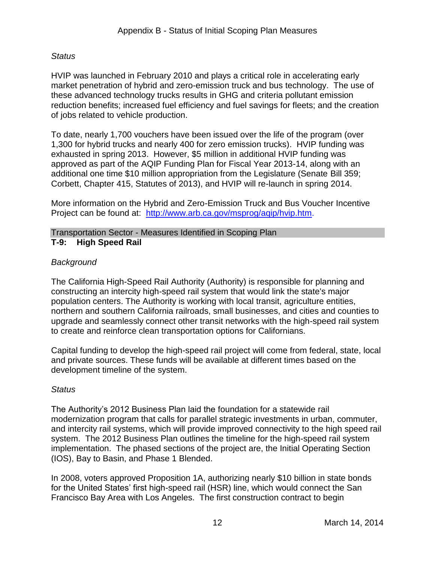## *Status*

 market penetration of hybrid and zero-emission truck and bus technology. The use of these advanced technology trucks results in GHG and criteria pollutant emission of jobs related to vehicle production. HVIP was launched in February 2010 and plays a critical role in accelerating early reduction benefits; increased fuel efficiency and fuel savings for fleets; and the creation

 To date, nearly 1,700 vouchers have been issued over the life of the program (over 1,300 for hybrid trucks and nearly 400 for zero emission trucks). HVIP funding was exhausted in spring 2013. However, \$5 million in additional HVIP funding was approved as part of the AQIP Funding Plan for Fiscal Year 2013-14, along with an additional one time \$10 million appropriation from the Legislature (Senate Bill 359; Corbett, Chapter 415, Statutes of 2013), and HVIP will re-launch in spring 2014.

 More information on the Hybrid and Zero-Emission Truck and Bus Voucher Incentive Project can be found at: [http://www.arb.ca.gov/msprog/aqip/hvip.htm.](http://www.arb.ca.gov/msprog/aqip/hvip.htm)

#### Transportation Sector - Measures Identified in Scoping Plan **T-9: High Speed Rail**

## *Background*

The California High-Speed Rail Authority (Authority) is responsible for planning and constructing an intercity high-speed rail system that would link the state's major population centers. The Authority is working with local transit, agriculture entities, northern and southern California railroads, small businesses, and cities and counties to upgrade and seamlessly connect other transit networks with the high-speed rail system to create and reinforce clean transportation options for Californians.

 Capital funding to develop the high-speed rail project will come from federal, state, local and private sources. These funds will be available at different times based on the development timeline of the system.

## *Status*

 The Authority's 2012 Business Plan laid the foundation for a statewide rail implementation. The phased sections of the project are, the Initial Operating Section (IOS), Bay to Basin, and Phase 1 Blended. modernization program that calls for parallel strategic investments in urban, commuter, and intercity rail systems, which will provide improved connectivity to the high speed rail system. The 2012 Business Plan outlines the timeline for the high-speed rail system

 Francisco Bay Area with Los Angeles. The first construction contract to begin In 2008, voters approved Proposition 1A, authorizing nearly \$10 billion in state bonds for the United States' first high-speed rail (HSR) line, which would connect the San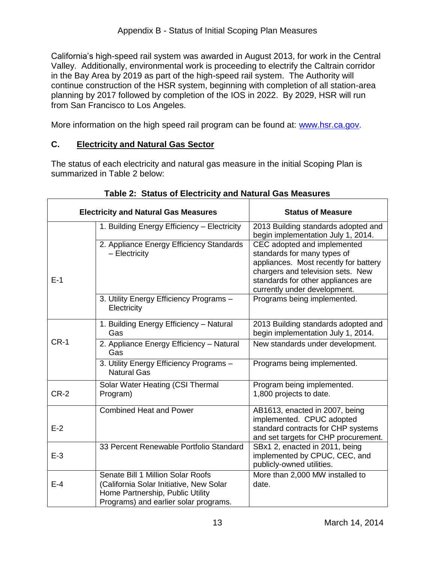planning by 2017 followed by completion of the IOS in 2022. By 2029, HSR will run California's high-speed rail system was awarded in August 2013, for work in the Central Valley. Additionally, environmental work is proceeding to electrify the Caltrain corridor in the Bay Area by 2019 as part of the high-speed rail system. The Authority will continue construction of the HSR system, beginning with completion of all station-area from San Francisco to Los Angeles.

More information on the high speed rail program can be found at: [www.hsr.ca.gov.](http://www.hsr.ca.gov/)

## **C. Electricity and Natural Gas Sector**

 summarized in Table 2 below: The status of each electricity and natural gas measure in the initial Scoping Plan is

|        | <b>Electricity and Natural Gas Measures</b>                                                                                                               | <b>Status of Measure</b>                                                                                                                                                                                       |
|--------|-----------------------------------------------------------------------------------------------------------------------------------------------------------|----------------------------------------------------------------------------------------------------------------------------------------------------------------------------------------------------------------|
|        | 1. Building Energy Efficiency - Electricity                                                                                                               | 2013 Building standards adopted and<br>begin implementation July 1, 2014.                                                                                                                                      |
| $E-1$  | 2. Appliance Energy Efficiency Standards<br>- Electricity                                                                                                 | CEC adopted and implemented<br>standards for many types of<br>appliances. Most recently for battery<br>chargers and television sets. New<br>standards for other appliances are<br>currently under development. |
|        | 3. Utility Energy Efficiency Programs -<br>Electricity                                                                                                    | Programs being implemented.                                                                                                                                                                                    |
|        | 1. Building Energy Efficiency - Natural<br>Gas                                                                                                            | 2013 Building standards adopted and<br>begin implementation July 1, 2014.                                                                                                                                      |
| $CR-1$ | 2. Appliance Energy Efficiency - Natural<br>Gas                                                                                                           | New standards under development.                                                                                                                                                                               |
|        | 3. Utility Energy Efficiency Programs -<br><b>Natural Gas</b>                                                                                             | Programs being implemented.                                                                                                                                                                                    |
| $CR-2$ | Solar Water Heating (CSI Thermal<br>Program)                                                                                                              | Program being implemented.<br>1,800 projects to date.                                                                                                                                                          |
| $E-2$  | <b>Combined Heat and Power</b>                                                                                                                            | AB1613, enacted in 2007, being<br>implemented. CPUC adopted<br>standard contracts for CHP systems<br>and set targets for CHP procurement.                                                                      |
| $E-3$  | 33 Percent Renewable Portfolio Standard                                                                                                                   | SBx1 2, enacted in 2011, being<br>implemented by CPUC, CEC, and<br>publicly-owned utilities.                                                                                                                   |
| $E-4$  | Senate Bill 1 Million Solar Roofs<br>(California Solar Initiative, New Solar<br>Home Partnership, Public Utility<br>Programs) and earlier solar programs. | More than 2,000 MW installed to<br>date.                                                                                                                                                                       |

## **Table 2: Status of Electricity and Natural Gas Measures**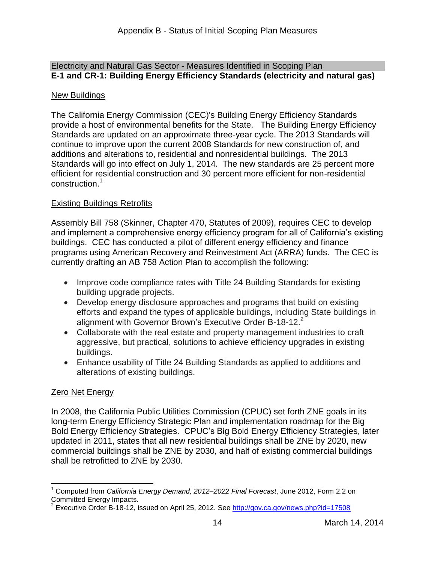#### Electricity and Natural Gas Sector - Measures Identified in Scoping Plan **E-1 and CR-1: Building Energy Efficiency Standards (electricity and natural gas)**

## New Buildings

 provide a host of environmental benefits for the State. The Building Energy Efficiency Standards are updated on an approximate three-year cycle. The 2013 Standards will continue to improve upon the current 2008 Standards for new construction of, and additions and alterations to, residential and nonresidential buildings. The 2013 Standards will go into effect on July 1, 2014. The new standards are 25 percent more efficient for residential construction and 30 percent more efficient for non-residential construction.<sup>1</sup> The California Energy Commission (CEC)'s Building Energy Efficiency Standards

## Existing Buildings Retrofits

 Assembly Bill 758 (Skinner, Chapter 470, Statutes of 2009), requires CEC to develop and implement a comprehensive energy efficiency program for all of California's existing buildings. CEC has conducted a pilot of different energy efficiency and finance programs using American Recovery and Reinvestment Act (ARRA) funds. The CEC is currently drafting an AB 758 Action Plan to accomplish the following:

- Improve code compliance rates with Title 24 Building Standards for existing building upgrade projects.
- efforts and expand the types of applicable buildings, including State buildings in Develop energy disclosure approaches and programs that build on existing alignment with Governor Brown's Executive Order B-18-12.<sup>2</sup>
- Collaborate with the real estate and property management industries to craft aggressive, but practical, solutions to achieve efficiency upgrades in existing buildings.
- Enhance usability of Title 24 Building Standards as applied to additions and alterations of existing buildings.

## Zero Net Energy

 In 2008, the California Public Utilities Commission (CPUC) set forth ZNE goals in its long-term Energy Efficiency Strategic Plan and implementation roadmap for the Big Bold Energy Efficiency Strategies. CPUC's Big Bold Energy Efficiency Strategies, later updated in 2011, states that all new residential buildings shall be ZNE by 2020, new commercial buildings shall be ZNE by 2030, and half of existing commercial buildings shall be retrofitted to ZNE by 2030.

 $\overline{\phantom{a}}$ 1 Computed from *California Energy Demand, 2012–2022 Final Forecast*, June 2012, Form 2.2 on Committed Energy Impacts.

<sup>&</sup>lt;sup>2</sup> Executive Order B-18-12, issued on April 25, 2012. See  $\frac{http://gov.ca.gov/news.php?id=17508}{http://gov.ca.gov/news.php?id=17508}$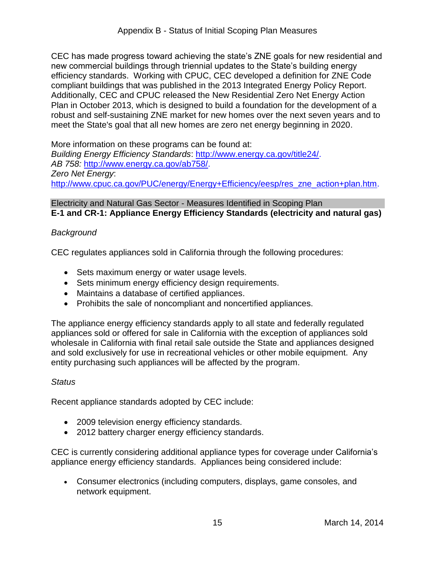efficiency standards. Working with CPUC, CEC developed a definition for ZNE Code compliant buildings that was published in the 2013 Integrated Energy Policy Report. Additionally, CEC and CPUC released the New Residential Zero Net Energy Action Plan in October 2013, which is designed to build a foundation for the development of a robust and self-sustaining ZNE market for new homes over the next seven years and to CEC has made progress toward achieving the state's ZNE goals for new residential and new commercial buildings through triennial updates to the State's building energy meet the State's goal that all new homes are zero net energy beginning in 2020.

 More information on these programs can be found at: *Building Energy Efficiency Standards*: [http://www.energy.ca.gov/title24/.](http://www.energy.ca.gov/title24/) *AB 758:* [http://www.energy.ca.gov/ab758/.](http://www.energy.ca.gov/ab758/) *Zero Net Energy*: [http://www.cpuc.ca.gov/PUC/energy/Energy+Efficiency/eesp/res\\_zne\\_action+plan.htm.](http://www.cpuc.ca.gov/PUC/energy/Energy+Efficiency/eesp/res_zne_action+plan.htm)

Electricity and Natural Gas Sector - Measures Identified in Scoping Plan **E-1 and CR-1: Appliance Energy Efficiency Standards (electricity and natural gas)** 

## *Background*

CEC regulates appliances sold in California through the following procedures:

- Sets maximum energy or water usage levels.
- Sets minimum energy efficiency design requirements.
- Maintains a database of certified appliances.
- Prohibits the sale of noncompliant and noncertified appliances.

 appliances sold or offered for sale in California with the exception of appliances sold and sold exclusively for use in recreational vehicles or other mobile equipment. Any entity purchasing such appliances will be affected by the program. The appliance energy efficiency standards apply to all state and federally regulated wholesale in California with final retail sale outside the State and appliances designed

#### *Status*

Recent appliance standards adopted by CEC include:

- 2009 television energy efficiency standards.
- 2012 battery charger energy efficiency standards.

 CEC is currently considering additional appliance types for coverage under California's appliance energy efficiency standards. Appliances being considered include:

 Consumer electronics (including computers, displays, game consoles, and network equipment.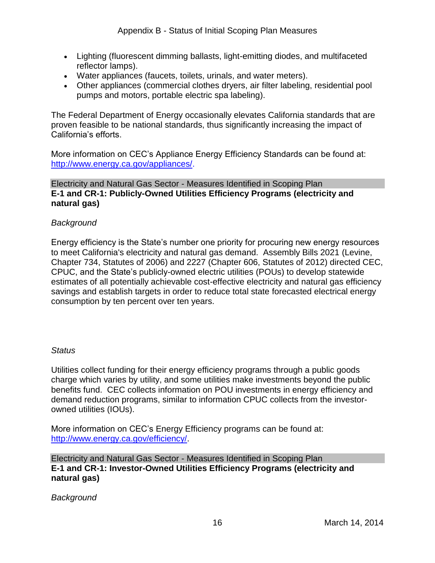- Lighting (fluorescent dimming ballasts, light-emitting diodes, and multifaceted reflector lamps).
- Water appliances (faucets, toilets, urinals, and water meters).
- Other appliances (commercial clothes dryers, air filter labeling, residential pool pumps and motors, portable electric spa labeling).

The Federal Department of Energy occasionally elevates California standards that are proven feasible to be national standards, thus significantly increasing the impact of California's efforts.

More information on CEC's Appliance Energy Efficiency Standards can be found at: [http://www.energy.ca.gov/appliances/.](http://www.energy.ca.gov/appliances/)

#### Electricity and Natural Gas Sector - Measures Identified in Scoping Plan **E-1 and CR-1: Publicly-Owned Utilities Efficiency Programs (electricity and natural gas)**

#### *Background*

 Chapter 734, Statutes of 2006) and 2227 (Chapter 606, Statutes of 2012) directed CEC, CPUC, and the State's publicly-owned electric utilities (POUs) to develop statewide Energy efficiency is the State's number one priority for procuring new energy resources to meet California's electricity and natural gas demand. Assembly Bills 2021 (Levine, estimates of all potentially achievable cost-effective electricity and natural gas efficiency savings and establish targets in order to reduce total state forecasted electrical energy consumption by ten percent over ten years.

#### *Status*

 Utilities collect funding for their energy efficiency programs through a public goods benefits fund. CEC collects information on POU investments in energy efficiency and demand reduction programs, similar to information CPUC collects from the investorowned utilities (IOUs). charge which varies by utility, and some utilities make investments beyond the public

owned utilities (IOUs).<br>More information on CEC's Energy Efficiency programs can be found at: [http://www.energy.ca.gov/efficiency/.](http://www.energy.ca.gov/efficiency/) 

Electricity and Natural Gas Sector - Measures Identified in Scoping Plan **E-1 and CR-1: Investor-Owned Utilities Efficiency Programs (electricity and natural gas)** 

*Background*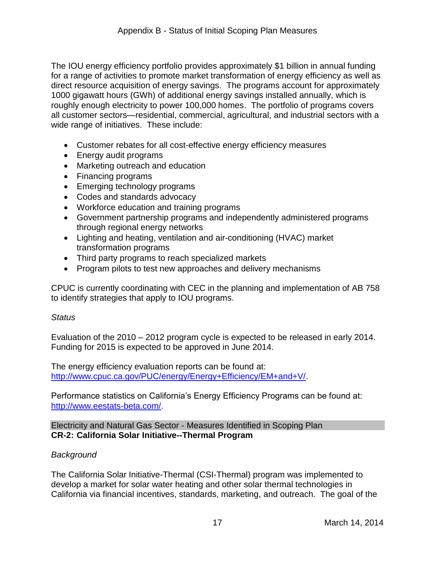direct resource acquisition of energy savings. The programs account for approximately roughly enough electricity to power 100,000 homes. The portfolio of programs covers The IOU energy efficiency portfolio provides approximately \$1 billion in annual funding for a range of activities to promote market transformation of energy efficiency as well as 1000 gigawatt hours (GWh) of additional energy savings installed annually, which is all customer sectors—residential, commercial, agricultural, and industrial sectors with a wide range of initiatives. These include:

- Customer rebates for all cost-effective energy efficiency measures
- Energy audit programs
- Marketing outreach and education
- Financing programs
- Emerging technology programs
- Codes and standards advocacy
- Workforce education and training programs
- Government partnership programs and independently administered programs through regional energy networks
- Lighting and heating, ventilation and air-conditioning (HVAC) market transformation programs
- Third party programs to reach specialized markets
- Program pilots to test new approaches and delivery mechanisms

 CPUC is currently coordinating with CEC in the planning and implementation of AB 758 to identify strategies that apply to IOU programs.

#### *Status*

 Evaluation of the 2010 – 2012 program cycle is expected to be released in early 2014. Funding for 2015 is expected to be approved in June 2014.

 The energy efficiency evaluation reports can be found at: [http://www.cpuc.ca.gov/PUC/energy/Energy+Efficiency/EM+and+V/.](http://www.cpuc.ca.gov/PUC/energy/Energy+Efficiency/EM+and+V/)

 Performance statistics on California's Energy Efficiency Programs can be found at: [http://www.eestats-beta.com/.](http://www.eestats-beta.com/)

Electricity and Natural Gas Sector - Measures Identified in Scoping Plan **CR-2: California Solar Initiative--Thermal Program** 

#### *Background*

 develop a market for solar water heating and other solar thermal technologies in California via financial incentives, standards, marketing, and outreach. The goal of the The California Solar Initiative-Thermal (CSI-Thermal) program was implemented to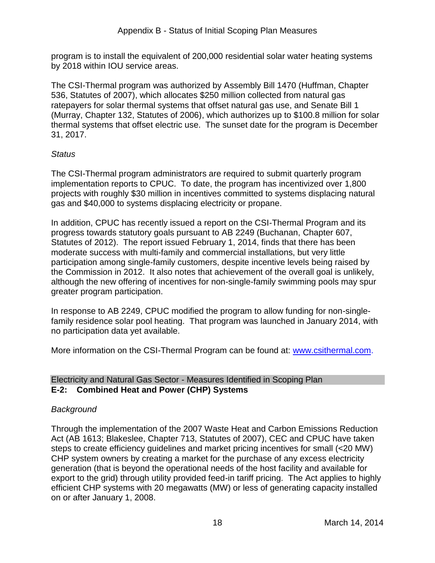program is to install the equivalent of 200,000 residential solar water heating systems by 2018 within IOU service areas.

 The CSI-Thermal program was authorized by Assembly Bill 1470 (Huffman, Chapter 536, Statutes of 2007), which allocates \$250 million collected from natural gas ratepayers for solar thermal systems that offset natural gas use, and Senate Bill 1 (Murray, Chapter 132, Statutes of 2006), which authorizes up to \$100.8 million for solar thermal systems that offset electric use. The sunset date for the program is December 31, 2017.

## *Status*

 implementation reports to CPUC. To date, the program has incentivized over 1,800 projects with roughly \$30 million in incentives committed to systems displacing natural gas and \$40,000 to systems displacing electricity or propane. The CSI-Thermal program administrators are required to submit quarterly program

gas and \$40,000 to systems displacing electricity or propane.<br>In addition, CPUC has recently issued a report on the CSI-Thermal Program and its progress towards statutory goals pursuant to AB 2249 (Buchanan, Chapter 607, Statutes of 2012). The report issued February 1, 2014, finds that there has been moderate success with multi-family and commercial installations, but very little participation among single-family customers, despite incentive levels being raised by the Commission in 2012. It also notes that achievement of the overall goal is unlikely, although the new offering of incentives for non-single-family swimming pools may spur greater program participation.

 In response to AB 2249, CPUC modified the program to allow funding for non-singlefamily residence solar pool heating. That program was launched in January 2014, with no participation data yet available.

More information on the CSI-Thermal Program can be found at: [www.csithermal.com.](http://www.csithermal.com/)

#### Electricity and Natural Gas Sector - Measures Identified in Scoping Plan **E-2: Combined Heat and Power (CHP) Systems**

## *Background*

 Through the implementation of the 2007 Waste Heat and Carbon Emissions Reduction Act (AB 1613; Blakeslee, Chapter 713, Statutes of 2007), CEC and CPUC have taken export to the grid) through utility provided feed-in tariff pricing. The Act applies to highly steps to create efficiency guidelines and market pricing incentives for small (<20 MW) CHP system owners by creating a market for the purchase of any excess electricity generation (that is beyond the operational needs of the host facility and available for efficient CHP systems with 20 megawatts (MW) or less of generating capacity installed on or after January 1, 2008.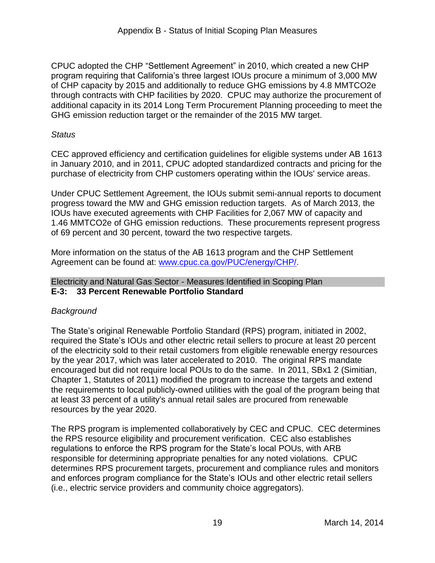of CHP capacity by 2015 and additionally to reduce GHG emissions by 4.8 MMTCO2e through contracts with CHP facilities by 2020. CPUC may authorize the procurement of GHG emission reduction target or the remainder of the 2015 MW target. CPUC adopted the CHP "Settlement Agreement" in 2010, which created a new CHP program requiring that California's three largest IOUs procure a minimum of 3,000 MW additional capacity in its 2014 Long Term Procurement Planning proceeding to meet the

#### *Status*

 CEC approved efficiency and certification guidelines for eligible systems under AB 1613 in January 2010, and in 2011, CPUC adopted standardized contracts and pricing for the purchase of electricity from CHP customers operating within the IOUs' service areas.

 progress toward the MW and GHG emission reduction targets. As of March 2013, the 1.46 MMTCO2e of GHG emission reductions. These procurements represent progress Under CPUC Settlement Agreement, the IOUs submit semi-annual reports to document IOUs have executed agreements with CHP Facilities for 2,067 MW of capacity and of 69 percent and 30 percent, toward the two respective targets.

Agreement can be found at: [www.cpuc.ca.gov/PUC/energy/CHP/.](http://www.cpuc.ca.gov/PUC/energy/CHP/) More information on the status of the AB 1613 program and the CHP Settlement

#### Electricity and Natural Gas Sector - Measures Identified in Scoping Plan **E-3: 33 Percent Renewable Portfolio Standard**

## *Background*

 by the year 2017, which was later accelerated to 2010. The original RPS mandate encouraged but did not require local POUs to do the same. In 2011, SBx1 2 (Simitian, Chapter 1, Statutes of 2011) modified the program to increase the targets and extend the requirements to local publicly-owned utilities with the goal of the program being that at least 33 percent of a utility's annual retail sales are procured from renewable The State's original Renewable Portfolio Standard (RPS) program, initiated in 2002, required the State's IOUs and other electric retail sellers to procure at least 20 percent of the electricity sold to their retail customers from eligible renewable energy resources resources by the year 2020.

 The RPS program is implemented collaboratively by CEC and CPUC. CEC determines responsible for determining appropriate penalties for any noted violations. CPUC and enforces program compliance for the State's IOUs and other electric retail sellers the RPS resource eligibility and procurement verification. CEC also establishes regulations to enforce the RPS program for the State's local POUs, with ARB determines RPS procurement targets, procurement and compliance rules and monitors (i.e., electric service providers and community choice aggregators).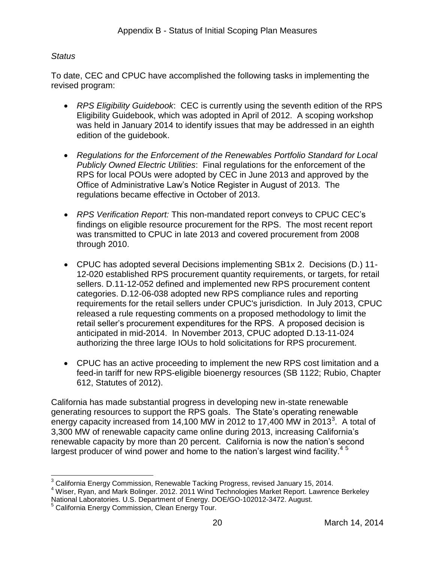#### *Status*

To date, CEC and CPUC have accomplished the following tasks in implementing the revised program:

- Eligibility Guidebook, which was adopted in April of 2012. A scoping workshop edition of the guidebook. *RPS Eligibility Guidebook*: CEC is currently using the seventh edition of the RPS was held in January 2014 to identify issues that may be addressed in an eighth
- RPS for local POUs were adopted by CEC in June 2013 and approved by the Office of Administrative Law's Notice Register in August of 2013. The *Regulations for the Enforcement of the Renewables Portfolio Standard for Local Publicly Owned Electric Utilities*: Final regulations for the enforcement of the regulations became effective in October of 2013.
- *RPS Verification Report:* This non-mandated report conveys to CPUC CEC's findings on eligible resource procurement for the RPS. The most recent report was transmitted to CPUC in late 2013 and covered procurement from 2008 through 2010.
- CPUC has adopted several Decisions implementing SB1x 2. Decisions (D.) 11- 12-020 established RPS procurement quantity requirements, or targets, for retail anticipated in mid-2014. In November 2013, CPUC adopted D.13-11-024 authorizing the three large IOUs to hold solicitations for RPS procurement. sellers. D.11-12-052 defined and implemented new RPS procurement content categories. D.12-06-038 adopted new RPS compliance rules and reporting requirements for the retail sellers under CPUC's jurisdiction. In July 2013, CPUC released a rule requesting comments on a proposed methodology to limit the retail seller's procurement expenditures for the RPS. A proposed decision is
- CPUC has an active proceeding to implement the new RPS cost limitation and a feed-in tariff for new RPS-eligible bioenergy resources (SB 1122; Rubio, Chapter 612, Statutes of 2012).

energy capacity increased from 14,100 MW in 2012 to 17,400 MW in 2013<sup>3</sup>. A total of 3,300 MW of renewable capacity came online during 2013, increasing California's largest producer of wind power and home to the nation's largest wind facility.<sup>45</sup> California has made substantial progress in developing new in-state renewable generating resources to support the RPS goals. The State's operating renewable renewable capacity by more than 20 percent. California is now the nation's second

 $\overline{a}$  $3$  California Energy Commission, Renewable Tacking Progress, revised January 15, 2014.

 National Laboratories. U.S. Department of Energy. DOE/GO-102012-3472. August. <sup>4</sup> Wiser, Ryan, and Mark Bolinger. 2012. 2011 Wind Technologies Market Report. Lawrence Berkeley

<sup>&</sup>lt;sup>5</sup> California Energy Commission, Clean Energy Tour.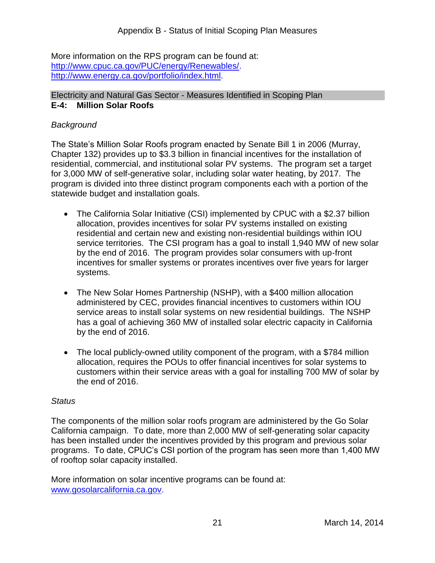More information on the RPS program can be found at: [http://www.cpuc.ca.gov/PUC/energy/Renewables/.](http://www.cpuc.ca.gov/PUC/energy/Renewables/)<br>[http://www.energy.ca.gov/portfolio/index.html.](http://www.energy.ca.gov/portfolio/index.html)

#### Electricity and Natural Gas Sector - Measures Identified in Scoping Plan **E-4: Million Solar Roofs**

## *Background*

 Chapter 132) provides up to \$3.3 billion in financial incentives for the installation of residential, commercial, and institutional solar PV systems. The program set a target for 3,000 MW of self-generative solar, including solar water heating, by 2017. The program is divided into three distinct program components each with a portion of the The State's Million Solar Roofs program enacted by Senate Bill 1 in 2006 (Murray, statewide budget and installation goals.

- The California Solar Initiative (CSI) implemented by CPUC with a \$2.37 billion residential and certain new and existing non-residential buildings within IOU by the end of 2016. The program provides solar consumers with up-front allocation, provides incentives for solar PV systems installed on existing service territories. The CSI program has a goal to install 1,940 MW of new solar incentives for smaller systems or prorates incentives over five years for larger systems.
- The New Solar Homes Partnership (NSHP), with a \$400 million allocation service areas to install solar systems on new residential buildings. The NSHP by the end of 2016. administered by CEC, provides financial incentives to customers within IOU has a goal of achieving 360 MW of installed solar electric capacity in California
- The local publicly-owned utility component of the program, with a \$784 million customers within their service areas with a goal for installing 700 MW of solar by the end of 2016. allocation, requires the POUs to offer financial incentives for solar systems to

#### *Status*

 California campaign. To date, more than 2,000 MW of self-generating solar capacity programs. To date, CPUC's CSI portion of the program has seen more than 1,400 MW of rooftop solar capacity installed. The components of the million solar roofs program are administered by the Go Solar has been installed under the incentives provided by this program and previous solar

of rooftop solar capacity installed.<br>More information on solar incentive programs can be found at: [www.gosolarcalifornia.ca.gov.](http://www.gosolarcalifornia.ca.gov/)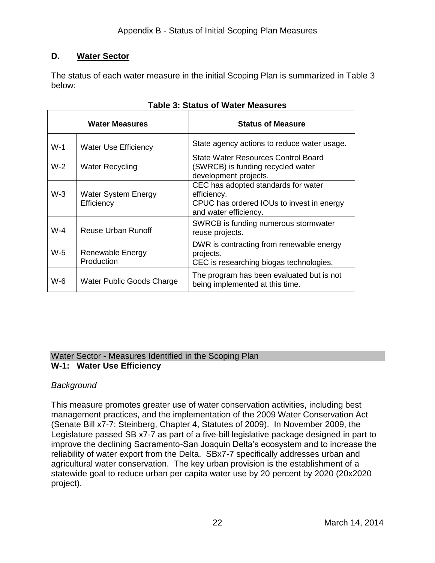## **D. Water Sector**

 The status of each water measure in the initial Scoping Plan is summarized in Table 3 below:

| <b>Water Measures</b> |                                          | <b>Status of Measure</b>                                                                                                 |
|-----------------------|------------------------------------------|--------------------------------------------------------------------------------------------------------------------------|
| $W-1$                 | <b>Water Use Efficiency</b>              | State agency actions to reduce water usage.                                                                              |
| $W-2$                 | <b>Water Recycling</b>                   | State Water Resources Control Board<br>(SWRCB) is funding recycled water<br>development projects.                        |
| $W-3$                 | <b>Water System Energy</b><br>Efficiency | CEC has adopted standards for water<br>efficiency.<br>CPUC has ordered IOUs to invest in energy<br>and water efficiency. |
| $W-4$                 | Reuse Urban Runoff                       | SWRCB is funding numerous stormwater<br>reuse projects.                                                                  |
| $W-5$                 | Renewable Energy<br>Production           | DWR is contracting from renewable energy<br>projects.<br>CEC is researching biogas technologies.                         |
| W-6                   | Water Public Goods Charge                | The program has been evaluated but is not<br>being implemented at this time.                                             |

|  |  |  |  | <b>Table 3: Status of Water Measures</b> |
|--|--|--|--|------------------------------------------|
|--|--|--|--|------------------------------------------|

#### Water Sector - Measures Identified in the Scoping Plan **W-1: Water Use Efficiency**

## *Background*

 This measure promotes greater use of water conservation activities, including best (Senate Bill x7-7; Steinberg, Chapter 4, Statutes of 2009). In November 2009, the Legislature passed SB x7-7 as part of a five-bill legislative package designed in part to improve the declining Sacramento-San Joaquin Delta's ecosystem and to increase the statewide goal to reduce urban per capita water use by 20 percent by 2020 (20x2020 management practices, and the implementation of the 2009 Water Conservation Act reliability of water export from the Delta. SBx7-7 specifically addresses urban and agricultural water conservation. The key urban provision is the establishment of a project).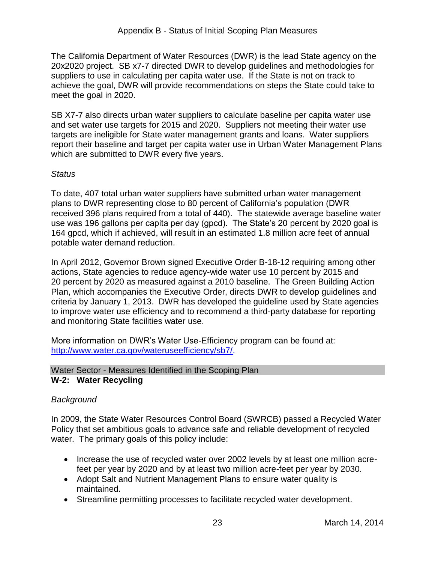The California Department of Water Resources (DWR) is the lead State agency on the 20x2020 project. SB x7-7 directed DWR to develop guidelines and methodologies for meet the goal in 2020. suppliers to use in calculating per capita water use. If the State is not on track to achieve the goal, DWR will provide recommendations on steps the State could take to

 and set water use targets for 2015 and 2020. Suppliers not meeting their water use targets are ineligible for State water management grants and loans. Water suppliers SB X7-7 also directs urban water suppliers to calculate baseline per capita water use report their baseline and target per capita water use in Urban Water Management Plans which are submitted to DWR every five years.

## *Status*

 164 gpcd, which if achieved, will result in an estimated 1.8 million acre feet of annual potable water demand reduction. To date, 407 total urban water suppliers have submitted urban water management plans to DWR representing close to 80 percent of California's population (DWR received 396 plans required from a total of 440). The statewide average baseline water use was 196 gallons per capita per day (gpcd). The State's 20 percent by 2020 goal is

 actions, State agencies to reduce agency-wide water use 10 percent by 2015 and 20 percent by 2020 as measured against a 2010 baseline. The Green Building Action Plan, which accompanies the Executive Order, directs DWR to develop guidelines and criteria by January 1, 2013. DWR has developed the guideline used by State agencies In April 2012, Governor Brown signed Executive Order B-18-12 requiring among other to improve water use efficiency and to recommend a third-party database for reporting and monitoring State facilities water use.

 More information on DWR's Water Use-Efficiency program can be found at: [http://www.water.ca.gov/wateruseefficiency/sb7/.](http://www.water.ca.gov/wateruseefficiency/sb7/)

#### Water Sector - Measures Identified in the Scoping Plan **W-2: Water Recycling**

## *Background*

In 2009, the State Water Resources Control Board (SWRCB) passed a Recycled Water Policy that set ambitious goals to advance safe and reliable development of recycled water. The primary goals of this policy include:

- feet per year by 2020 and by at least two million acre-feet per year by 2030. • Increase the use of recycled water over 2002 levels by at least one million acre-
- Adopt Salt and Nutrient Management Plans to ensure water quality is maintained.
- Streamline permitting processes to facilitate recycled water development.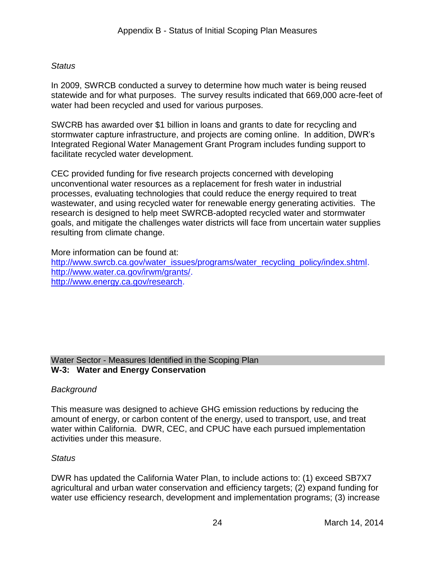## *Status*

 water had been recycled and used for various purposes. In 2009, SWRCB conducted a survey to determine how much water is being reused statewide and for what purposes. The survey results indicated that 669,000 acre-feet of

 SWCRB has awarded over \$1 billion in loans and grants to date for recycling and stormwater capture infrastructure, and projects are coming online. In addition, DWR's Integrated Regional Water Management Grant Program includes funding support to facilitate recycled water development.

 CEC provided funding for five research projects concerned with developing wastewater, and using recycled water for renewable energy generating activities. The goals, and mitigate the challenges water districts will face from uncertain water supplies resulting from climate change. unconventional water resources as a replacement for fresh water in industrial processes, evaluating technologies that could reduce the energy required to treat research is designed to help meet SWRCB-adopted recycled water and stormwater

More information can be found at:

[http://www.swrcb.ca.gov/water\\_issues/programs/water\\_recycling\\_policy/index.shtml.](http://www.swrcb.ca.gov/water_issues/programs/water_recycling_policy/index.shtml) [http://www.water.ca.gov/irwm/grants/.](http://www.water.ca.gov/irwm/grants/) [http://www.energy.ca.gov/research.](http://www.energy.ca.gov/research)

#### Water Sector - Measures Identified in the Scoping Plan **W-3: Water and Energy Conservation**

## *Background*

 This measure was designed to achieve GHG emission reductions by reducing the water within California. DWR, CEC, and CPUC have each pursued implementation amount of energy, or carbon content of the energy, used to transport, use, and treat activities under this measure.

#### *Status*

 DWR has updated the California Water Plan, to include actions to: (1) exceed SB7X7 agricultural and urban water conservation and efficiency targets; (2) expand funding for water use efficiency research, development and implementation programs; (3) increase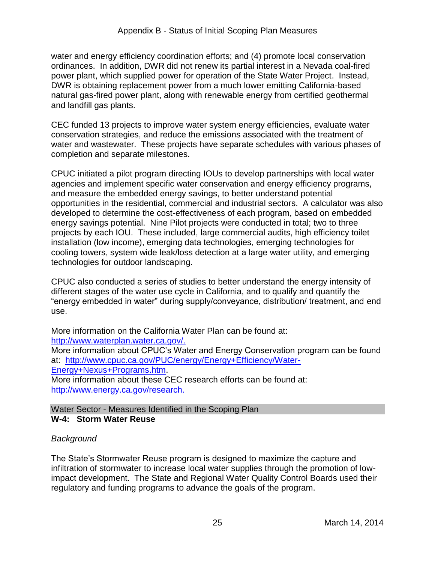ordinances. In addition, DWR did not renew its partial interest in a Nevada coal-fired DWR is obtaining replacement power from a much lower emitting California-based and landfill gas plants. water and energy efficiency coordination efforts; and (4) promote local conservation power plant, which supplied power for operation of the State Water Project. Instead, natural gas-fired power plant, along with renewable energy from certified geothermal

and landfill gas plants.<br>CEC funded 13 projects to improve water system energy efficiencies, evaluate water conservation strategies, and reduce the emissions associated with the treatment of water and wastewater. These projects have separate schedules with various phases of completion and separate milestones.

 CPUC initiated a pilot program directing IOUs to develop partnerships with local water opportunities in the residential, commercial and industrial sectors. A calculator was also energy savings potential. Nine Pilot projects were conducted in total; two to three projects by each IOU. These included, large commercial audits, high efficiency toilet agencies and implement specific water conservation and energy efficiency programs, and measure the embedded energy savings, to better understand potential developed to determine the cost-effectiveness of each program, based on embedded installation (low income), emerging data technologies, emerging technologies for cooling towers, system wide leak/loss detection at a large water utility, and emerging technologies for outdoor landscaping.

 "energy embedded in water" during supply/conveyance, distribution/ treatment, and end CPUC also conducted a series of studies to better understand the energy intensity of different stages of the water use cycle in California, and to qualify and quantify the use.

 More information on the California Water Plan can be found at: [http://www.waterplan.water.ca.gov/.](http://www.waterplan.water.ca.gov/) 

 More information about CPUC's Water and Energy Conservation program can be found at: [http://www.cpuc.ca.gov/PUC/energy/Energy+Efficiency/Water-](http://www.cpuc.ca.gov/PUC/energy/Energy+Efficiency/Water-Energy+Nexus+Programs.htm)Energy+Nexus+Programs.htm. <u>Energy+Nexus+Programs.htm</u>.<br>More information about these CEC research efforts can be found at:

[http://www.energy.ca.gov/research.](http://www.energy.ca.gov/research)

Water Sector - Measures Identified in the Scoping Plan

## **W-4: Storm Water Reuse**

## *Background*

 impact development. The State and Regional Water Quality Control Boards used their regulatory and funding programs to advance the goals of the program. The State's Stormwater Reuse program is designed to maximize the capture and infiltration of stormwater to increase local water supplies through the promotion of low-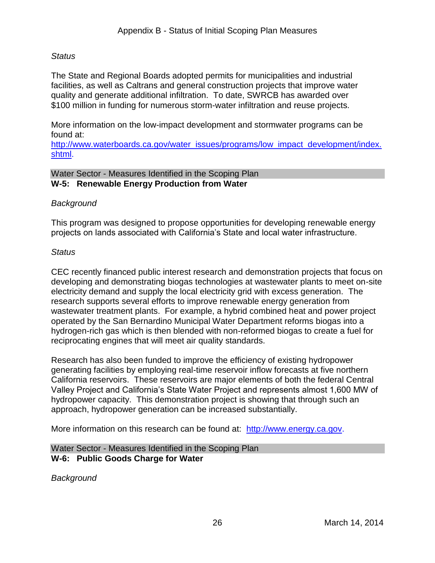#### *Status*

 \$100 million in funding for numerous storm-water infiltration and reuse projects. The State and Regional Boards adopted permits for municipalities and industrial facilities, as well as Caltrans and general construction projects that improve water quality and generate additional infiltration. To date, SWRCB has awarded over

More information on the low-impact development and stormwater programs can be found at:

[http://www.waterboards.ca.gov/water\\_issues/programs/low\\_impact\\_development/index.](http://www.waterboards.ca.gov/water_issues/programs/low_impact_development/index.shtml)  [shtml.](http://www.waterboards.ca.gov/water_issues/programs/low_impact_development/index.shtml)

#### Water Sector - Measures Identified in the Scoping Plan **W-5: Renewable Energy Production from Water**

## *Background*

This program was designed to propose opportunities for developing renewable energy projects on lands associated with California's State and local water infrastructure.

## *Status*

 electricity demand and supply the local electricity grid with excess generation. The research supports several efforts to improve renewable energy generation from wastewater treatment plants. For example, a hybrid combined heat and power project operated by the San Bernardino Municipal Water Department reforms biogas into a reciprocating engines that will meet air quality standards. CEC recently financed public interest research and demonstration projects that focus on developing and demonstrating biogas technologies at wastewater plants to meet on-site hydrogen-rich gas which is then blended with non-reformed biogas to create a fuel for

 generating facilities by employing real-time reservoir inflow forecasts at five northern California reservoirs. These reservoirs are major elements of both the federal Central Research has also been funded to improve the efficiency of existing hydropower Valley Project and California's State Water Project and represents almost 1,600 MW of hydropower capacity. This demonstration project is showing that through such an approach, hydropower generation can be increased substantially.

More information on this research can be found at: [http://www.energy.ca.gov.](http://www.energy.ca.gov/)

Water Sector - Measures Identified in the Scoping Plan **W-6: Public Goods Charge for Water** 

*Background*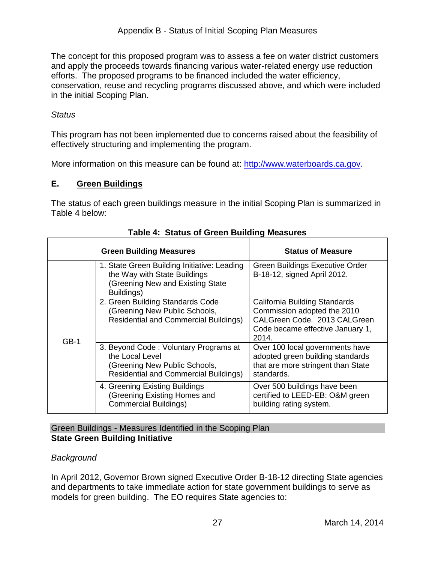The concept for this proposed program was to assess a fee on water district customers efforts. The proposed programs to be financed included the water efficiency, and apply the proceeds towards financing various water-related energy use reduction conservation, reuse and recycling programs discussed above, and which were included in the initial Scoping Plan.

#### *Status*

 This program has not been implemented due to concerns raised about the feasibility of effectively structuring and implementing the program.

More information on this measure can be found at: [http://www.waterboards.ca.gov.](http://www.waterboards.ca.gov/)

## **E. Green Buildings**

 Table 4 below: The status of each green buildings measure in the initial Scoping Plan is summarized in

|        | <b>Green Building Measures</b>                                                                                                            | <b>Status of Measure</b>                                                                                                                  |
|--------|-------------------------------------------------------------------------------------------------------------------------------------------|-------------------------------------------------------------------------------------------------------------------------------------------|
|        | 1. State Green Building Initiative: Leading<br>the Way with State Buildings<br>(Greening New and Existing State<br>Buildings)             | Green Buildings Executive Order<br>B-18-12, signed April 2012.                                                                            |
| $GB-1$ | 2. Green Building Standards Code<br>(Greening New Public Schools,<br><b>Residential and Commercial Buildings)</b>                         | California Building Standards<br>Commission adopted the 2010<br>CALGreen Code. 2013 CALGreen<br>Code became effective January 1,<br>2014. |
|        | 3. Beyond Code: Voluntary Programs at<br>the Local Level<br>(Greening New Public Schools,<br><b>Residential and Commercial Buildings)</b> | Over 100 local governments have<br>adopted green building standards<br>that are more stringent than State<br>standards.                   |
|        | 4. Greening Existing Buildings<br>(Greening Existing Homes and<br><b>Commercial Buildings)</b>                                            | Over 500 buildings have been<br>certified to LEED-EB: O&M green<br>building rating system.                                                |

## **Table 4: Status of Green Building Measures**

#### Green Buildings - Measures Identified in the Scoping Plan **State Green Building Initiative**

## *Background*

 and departments to take immediate action for state government buildings to serve as In April 2012, Governor Brown signed Executive Order B-18-12 directing State agencies models for green building. The EO requires State agencies to: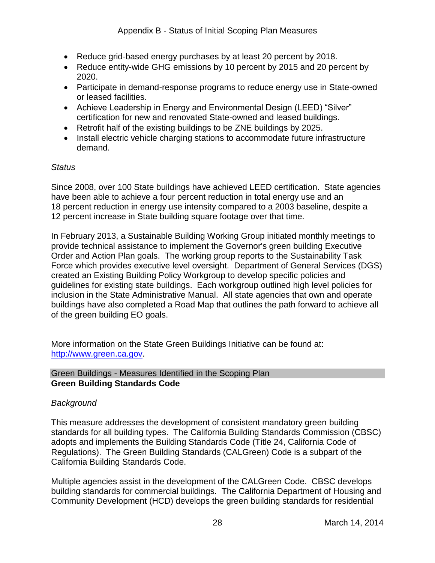- Reduce grid-based energy purchases by at least 20 percent by 2018.
- Reduce entity-wide GHG emissions by 10 percent by 2015 and 20 percent by 2020.
- Participate in demand-response programs to reduce energy use in State-owned or leased facilities.
- Achieve Leadership in Energy and Environmental Design (LEED) "Silver" certification for new and renovated State-owned and leased buildings.
- Retrofit half of the existing buildings to be ZNE buildings by 2025.
- Install electric vehicle charging stations to accommodate future infrastructure demand.

## *Status*

 have been able to achieve a four percent reduction in total energy use and an Since 2008, over 100 State buildings have achieved LEED certification. State agencies 18 percent reduction in energy use intensity compared to a 2003 baseline, despite a 12 percent increase in State building square footage over that time.

 Order and Action Plan goals. The working group reports to the Sustainability Task Force which provides executive level oversight. Department of General Services (DGS) guidelines for existing state buildings. Each workgroup outlined high level policies for inclusion in the State Administrative Manual. All state agencies that own and operate In February 2013, a Sustainable Building Working Group initiated monthly meetings to provide technical assistance to implement the Governor's green building Executive created an Existing Building Policy Workgroup to develop specific policies and buildings have also completed a Road Map that outlines the path forward to achieve all of the green building EO goals.

 More information on the State Green Buildings Initiative can be found at: [http://www.green.ca.gov.](http://www.green.ca.gov/)

Green Buildings - Measures Identified in the Scoping Plan **Green Building Standards Code** 

## *Background*

 adopts and implements the Building Standards Code (Title 24, California Code of Regulations). The Green Building Standards (CALGreen) Code is a subpart of the This measure addresses the development of consistent mandatory green building standards for all building types. The California Building Standards Commission (CBSC) California Building Standards Code.

Multiple agencies assist in the development of the CALGreen Code. CBSC develops building standards for commercial buildings. The California Department of Housing and Community Development (HCD) develops the green building standards for residential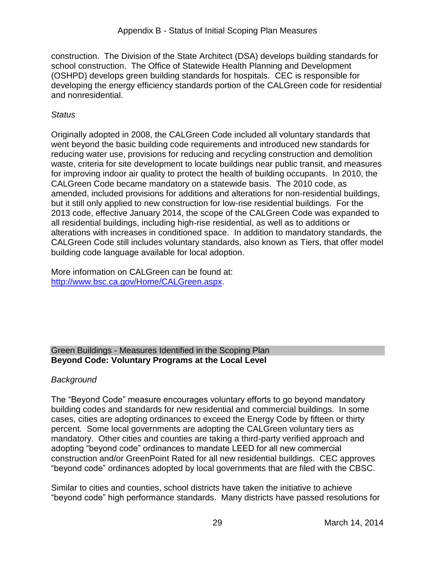(OSHPD) develops green building standards for hospitals. CEC is responsible for developing the energy efficiency standards portion of the CALGreen code for residential construction. The Division of the State Architect (DSA) develops building standards for school construction. The Office of Statewide Health Planning and Development and nonresidential.

## *Status*

 reducing water use, provisions for reducing and recycling construction and demolition waste, criteria for site development to locate buildings near public transit, and measures for improving indoor air quality to protect the health of building occupants. In 2010, the 2013 code, effective January 2014, the scope of the CALGreen Code was expanded to building code language available for local adoption. Originally adopted in 2008, the CALGreen Code included all voluntary standards that went beyond the basic building code requirements and introduced new standards for CALGreen Code became mandatory on a statewide basis. The 2010 code, as amended, included provisions for additions and alterations for non-residential buildings, but it still only applied to new construction for low-rise residential buildings. For the all residential buildings, including high-rise residential, as well as to additions or alterations with increases in conditioned space. In addition to mandatory standards, the CALGreen Code still includes voluntary standards, also known as Tiers, that offer model

 More information on CALGreen can be found at: http://www.bsc.ca.gov/Home/CALGreen.aspx.

# [http://www.bsc.ca.gov/Home/CALGreen.aspx.](http://www.bsc.ca.gov/Home/CALGreen.aspx)<br>Green Buildings - Measures Identified in the Scoping Plan **Beyond Code: Voluntary Programs at the Local Level**

## *Background*

 The "Beyond Code" measure encourages voluntary efforts to go beyond mandatory mandatory. Other cities and counties are taking a third-party verified approach and building codes and standards for new residential and commercial buildings. In some cases, cities are adopting ordinances to exceed the Energy Code by fifteen or thirty percent. Some local governments are adopting the CALGreen voluntary tiers as adopting "beyond code" ordinances to mandate LEED for all new commercial construction and/or GreenPoint Rated for all new residential buildings. CEC approves "beyond code" ordinances adopted by local governments that are filed with the CBSC.

 Similar to cities and counties, school districts have taken the initiative to achieve "beyond code" high performance standards. Many districts have passed resolutions for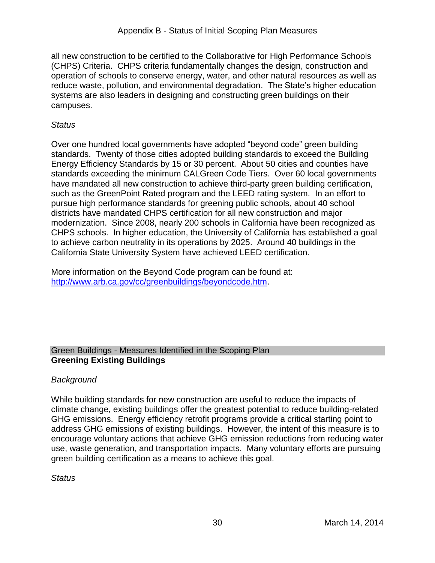campuses. all new construction to be certified to the Collaborative for High Performance Schools (CHPS) Criteria. CHPS criteria fundamentally changes the design, construction and operation of schools to conserve energy, water, and other natural resources as well as reduce waste, pollution, and environmental degradation. The State's higher education systems are also leaders in designing and constructing green buildings on their

## *Status*

 standards. Twenty of those cities adopted building standards to exceed the Building Energy Efficiency Standards by 15 or 30 percent. About 50 cities and counties have such as the GreenPoint Rated program and the LEED rating system. In an effort to modernization. Since 2008, nearly 200 schools in California have been recognized as CHPS schools. In higher education, the University of California has established a goal Over one hundred local governments have adopted "beyond code" green building standards exceeding the minimum CALGreen Code Tiers. Over 60 local governments have mandated all new construction to achieve third-party green building certification, pursue high performance standards for greening public schools, about 40 school districts have mandated CHPS certification for all new construction and major to achieve carbon neutrality in its operations by 2025. Around 40 buildings in the California State University System have achieved LEED certification.

 More information on the Beyond Code program can be found at: http://www.arb.ca.gov/cc/greenbuildings/beyondcode.htm.

# [http://www.arb.ca.gov/cc/greenbuildings/beyondcode.htm.](http://www.arb.ca.gov/cc/greenbuildings/beyondcode.htm)<br>Green Buildings - Measures Identified in the Scoping Plan **Greening Existing Buildings**

## *Background*

 use, waste generation, and transportation impacts. Many voluntary efforts are pursuing While building standards for new construction are useful to reduce the impacts of climate change, existing buildings offer the greatest potential to reduce building-related GHG emissions. Energy efficiency retrofit programs provide a critical starting point to address GHG emissions of existing buildings. However, the intent of this measure is to encourage voluntary actions that achieve GHG emission reductions from reducing water green building certification as a means to achieve this goal.

## *Status*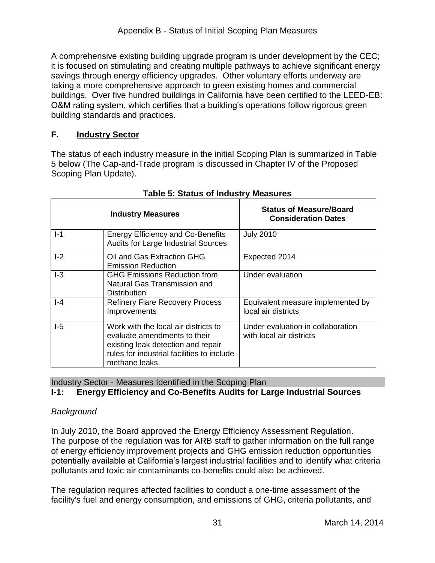building standards and practices. A comprehensive existing building upgrade program is under development by the CEC; it is focused on stimulating and creating multiple pathways to achieve significant energy savings through energy efficiency upgrades. Other voluntary efforts underway are taking a more comprehensive approach to green existing homes and commercial buildings. Over five hundred buildings in California have been certified to the LEED-EB: O&M rating system, which certifies that a building's operations follow rigorous green

## **F. Industry Sector**

 The status of each industry measure in the initial Scoping Plan is summarized in Table 5 below (The Cap-and-Trade program is discussed in Chapter IV of the Proposed Scoping Plan Update).

|       | <b>Industry Measures</b>                                                                                                                                                   | <b>Status of Measure/Board</b><br><b>Consideration Dates</b>  |
|-------|----------------------------------------------------------------------------------------------------------------------------------------------------------------------------|---------------------------------------------------------------|
| $I-1$ | <b>Energy Efficiency and Co-Benefits</b><br><b>Audits for Large Industrial Sources</b>                                                                                     | <b>July 2010</b>                                              |
| $I-2$ | Oil and Gas Extraction GHG<br><b>Emission Reduction</b>                                                                                                                    | Expected 2014                                                 |
| $-3$  | <b>GHG Emissions Reduction from</b><br>Natural Gas Transmission and<br><b>Distribution</b>                                                                                 | Under evaluation                                              |
| $-4$  | <b>Refinery Flare Recovery Process</b><br>Improvements                                                                                                                     | Equivalent measure implemented by<br>local air districts      |
| I-5   | Work with the local air districts to<br>evaluate amendments to their<br>existing leak detection and repair<br>rules for industrial facilities to include<br>methane leaks. | Under evaluation in collaboration<br>with local air districts |

|  |  | <b>Table 5: Status of Industry Measures</b> |
|--|--|---------------------------------------------|
|  |  |                                             |

Industry Sector - Measures Identified in the Scoping Plan

## **I-1: Energy Efficiency and Co-Benefits Audits for Large Industrial Sources**

## *Background*

In July 2010, the Board approved the Energy Efficiency Assessment Regulation. In July 2010, the Board approved the Energy Efficiency Assessment Regulation.<br>The purpose of the regulation was for ARB staff to gather information on the full range of energy efficiency improvement projects and GHG emission reduction opportunities potentially available at California's largest industrial facilities and to identify what criteria pollutants and toxic air contaminants co-benefits could also be achieved.

 The regulation requires affected facilities to conduct a one-time assessment of the facility's fuel and energy consumption, and emissions of GHG, criteria pollutants, and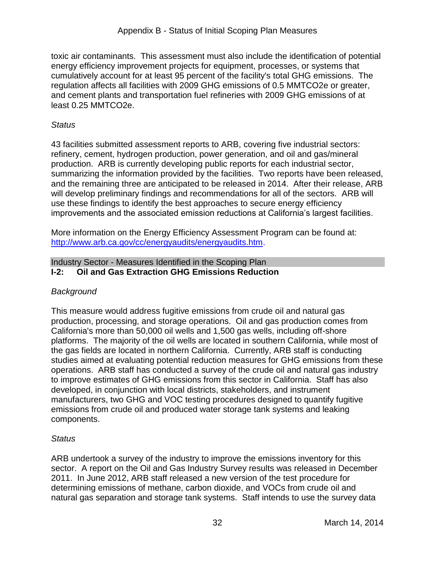cumulatively account for at least 95 percent of the facility's total GHG emissions. The toxic air contaminants. This assessment must also include the identification of potential energy efficiency improvement projects for equipment, processes, or systems that regulation affects all facilities with 2009 GHG emissions of 0.5 MMTCO2e or greater, and cement plants and transportation fuel refineries with 2009 GHG emissions of at least 0.25 MMTCO2e.

## *Status*

 43 facilities submitted assessment reports to ARB, covering five industrial sectors: summarizing the information provided by the facilities. Two reports have been released, and the remaining three are anticipated to be released in 2014. After their release, ARB  will develop preliminary findings and recommendations for all of the sectors. ARB will refinery, cement, hydrogen production, power generation, and oil and gas/mineral production. ARB is currently developing public reports for each industrial sector, use these findings to identify the best approaches to secure energy efficiency improvements and the associated emission reductions at California's largest facilities.

 More information on the Energy Efficiency Assessment Program can be found at: [http://www.arb.ca.gov/cc/energyaudits/energyaudits.htm.](http://www.arb.ca.gov/cc/energyaudits/energyaudits.htm)

#### Industry Sector - Measures Identified in the Scoping Plan **I-2: Oil and Gas Extraction GHG Emissions Reduction**

## *Background*

 production, processing, and storage operations. Oil and gas production comes from California's more than 50,000 oil wells and 1,500 gas wells, including off-shore platforms. The majority of the oil wells are located in southern California, while most of studies aimed at evaluating potential reduction measures for GHG emissions from these operations. ARB staff has conducted a survey of the crude oil and natural gas industry emissions from crude oil and produced water storage tank systems and leaking This measure would address fugitive emissions from crude oil and natural gas the gas fields are located in northern California. Currently, ARB staff is conducting to improve estimates of GHG emissions from this sector in California. Staff has also developed, in conjunction with local districts, stakeholders, and instrument manufacturers, two GHG and VOC testing procedures designed to quantify fugitive components.

## *Status*

 2011. In June 2012, ARB staff released a new version of the test procedure for determining emissions of methane, carbon dioxide, and VOCs from crude oil and natural gas separation and storage tank systems. Staff intends to use the survey data ARB undertook a survey of the industry to improve the emissions inventory for this sector. A report on the Oil and Gas Industry Survey results was released in December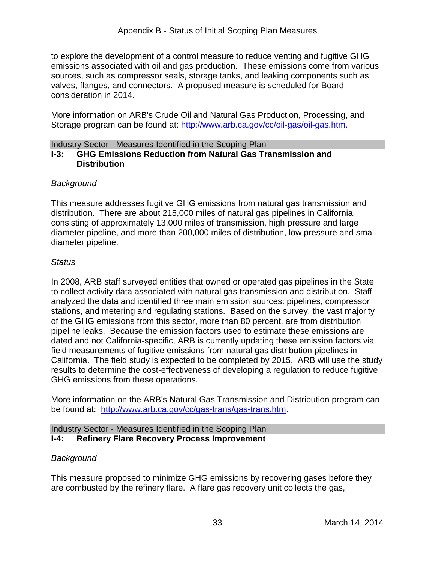to explore the development of a control measure to reduce venting and fugitive GHG emissions associated with oil and gas production. These emissions come from various valves, flanges, and connectors. A proposed measure is scheduled for Board consideration in 2014. sources, such as compressor seals, storage tanks, and leaking components such as

Storage program can be found at: [http://www.arb.ca.gov/cc/oil-gas/oil-gas.htm.](http://www.arb.ca.gov/cc/oil-gas/oil-gas.htm) More information on ARB's Crude Oil and Natural Gas Production, Processing, and

#### Industry Sector - Measures Identified in the Scoping Plan **I-3: GHG Emissions Reduction from Natural Gas Transmission and Distribution**

## *Background*

 This measure addresses fugitive GHG emissions from natural gas transmission and distribution. There are about 215,000 miles of natural gas pipelines in California, consisting of approximately 13,000 miles of transmission, high pressure and large diameter pipeline, and more than 200,000 miles of distribution, low pressure and small diameter pipeline.

#### *Status*

 In 2008, ARB staff surveyed entities that owned or operated gas pipelines in the State to collect activity data associated with natural gas transmission and distribution. Staff stations, and metering and regulating stations. Based on the survey, the vast majority of the GHG emissions from this sector, more than 80 percent, are from distribution pipeline leaks. Because the emission factors used to estimate these emissions are field measurements of fugitive emissions from natural gas distribution pipelines in California. The field study is expected to be completed by 2015. ARB will use the study results to determine the cost-effectiveness of developing a regulation to reduce fugitive GHG emissions from these operations. analyzed the data and identified three main emission sources: pipelines, compressor dated and not California-specific, ARB is currently updating these emission factors via

be found at: [http://www.arb.ca.gov/cc/gas-trans/gas-trans.htm.](http://www.arb.ca.gov/cc/gas-trans/gas-trans.htm) More information on the ARB's Natural Gas Transmission and Distribution program can

#### Industry Sector - Measures Identified in the Scoping Plan **I-4: Refinery Flare Recovery Process Improvement**

## *Background*

This measure proposed to minimize GHG emissions by recovering gases before they are combusted by the refinery flare. A flare gas recovery unit collects the gas,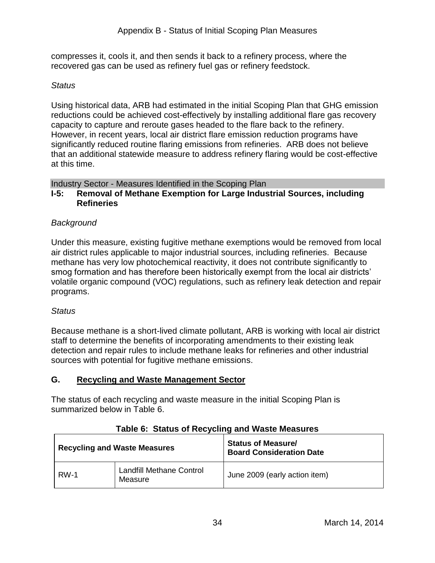recovered gas can be used as refinery fuel gas or refinery feedstock. compresses it, cools it, and then sends it back to a refinery process, where the

## *Status*

 Using historical data, ARB had estimated in the initial Scoping Plan that GHG emission capacity to capture and reroute gases headed to the flare back to the refinery. reductions could be achieved cost-effectively by installing additional flare gas recovery However, in recent years, local air district flare emission reduction programs have significantly reduced routine flaring emissions from refineries. ARB does not believe that an additional statewide measure to address refinery flaring would be cost-effective at this time.

## Industry Sector - Measures Identified in the Scoping Plan

#### **I-5: Removal of Methane Exemption for Large Industrial Sources, including Refineries**

## *Background*

 air district rules applicable to major industrial sources, including refineries. Because volatile organic compound (VOC) regulations, such as refinery leak detection and repair Under this measure, existing fugitive methane exemptions would be removed from local methane has very low photochemical reactivity, it does not contribute significantly to smog formation and has therefore been historically exempt from the local air districts' programs.

#### *Status*

 Because methane is a short-lived climate pollutant, ARB is working with local air district staff to determine the benefits of incorporating amendments to their existing leak detection and repair rules to include methane leaks for refineries and other industrial sources with potential for fugitive methane emissions.

## **G. Recycling and Waste Management Sector**

The status of each recycling and waste measure in the initial Scoping Plan is summarized below in Table 6.

|             | <b>Recycling and Waste Measures</b>        | <b>Status of Measure/</b><br><b>Board Consideration Date</b> |
|-------------|--------------------------------------------|--------------------------------------------------------------|
| <b>RW-1</b> | <b>Landfill Methane Control</b><br>Measure | June 2009 (early action item)                                |

## **Table 6: Status of Recycling and Waste Measures**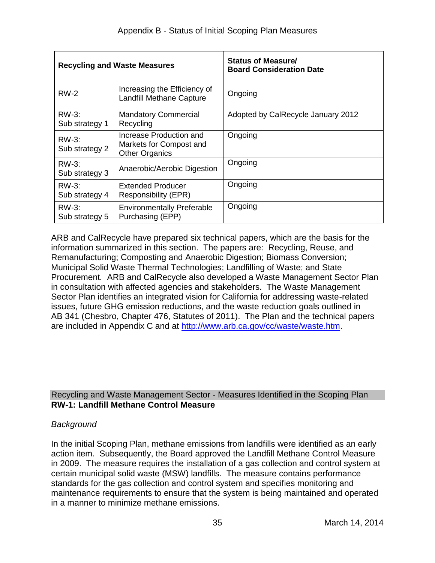|                            | <b>Recycling and Waste Measures</b>                                         | <b>Status of Measure/</b><br><b>Board Consideration Date</b> |
|----------------------------|-----------------------------------------------------------------------------|--------------------------------------------------------------|
| $RW-2$                     | Increasing the Efficiency of<br><b>Landfill Methane Capture</b>             | Ongoing                                                      |
| RW-3:<br>Sub strategy 1    | <b>Mandatory Commercial</b><br>Recycling                                    | Adopted by CalRecycle January 2012                           |
| RW-3:<br>Sub strategy 2    | Increase Production and<br>Markets for Compost and<br><b>Other Organics</b> | Ongoing                                                      |
| RW-3:<br>Sub strategy 3    | Anaerobic/Aerobic Digestion                                                 | Ongoing                                                      |
| $RW-3$ :<br>Sub strategy 4 | Extended Producer<br>Responsibility (EPR)                                   | Ongoing                                                      |
| $RW-3$<br>Sub strategy 5   | <b>Environmentally Preferable</b><br>Purchasing (EPP)                       | Ongoing                                                      |

 information summarized in this section. The papers are: Recycling, Reuse, and Municipal Solid Waste Thermal Technologies; Landfilling of Waste; and State AB 341 (Chesbro, Chapter 476, Statutes of 2011). The Plan and the technical papers ARB and CalRecycle have prepared six technical papers, which are the basis for the Remanufacturing; Composting and Anaerobic Digestion; Biomass Conversion; Procurement*.* ARB and CalRecycle also developed a Waste Management Sector Plan in consultation with affected agencies and stakeholders. The Waste Management Sector Plan identifies an integrated vision for California for addressing waste-related issues, future GHG emission reductions, and the waste reduction goals outlined in are included in Appendix C and at [http://www.arb.ca.gov/cc/waste/waste.htm.](http://www.arb.ca.gov/cc/waste/waste.htm)

## Recycling and Waste Management Sector - Measures Identified in the Scoping Plan **RW-1: Landfill Methane Control Measure**

#### *Background*

 In the initial Scoping Plan, methane emissions from landfills were identified as an early certain municipal solid waste (MSW) landfills. The measure contains performance maintenance requirements to ensure that the system is being maintained and operated in a manner to minimize methane emissions. action item. Subsequently, the Board approved the Landfill Methane Control Measure in 2009. The measure requires the installation of a gas collection and control system at standards for the gas collection and control system and specifies monitoring and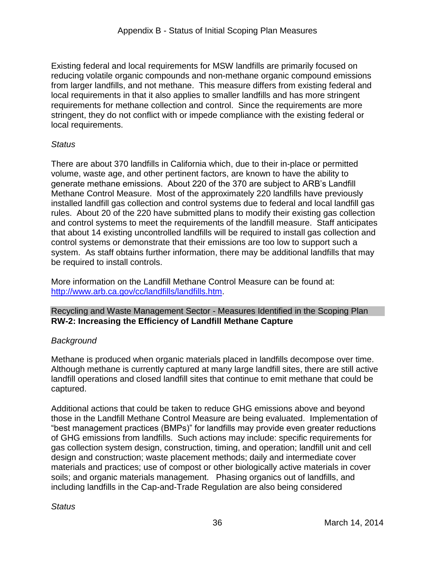Existing federal and local requirements for MSW landfills are primarily focused on reducing volatile organic compounds and non-methane organic compound emissions from larger landfills, and not methane. This measure differs from existing federal and local requirements in that it also applies to smaller landfills and has more stringent requirements for methane collection and control. Since the requirements are more stringent, they do not conflict with or impede compliance with the existing federal or local requirements.

## *Status*

 generate methane emissions. About 220 of the 370 are subject to ARB's Landfill rules. About 20 of the 220 have submitted plans to modify their existing gas collection that about 14 existing uncontrolled landfills will be required to install gas collection and be required to install controls. There are about 370 landfills in California which, due to their in-place or permitted volume, waste age, and other pertinent factors, are known to have the ability to Methane Control Measure. Most of the approximately 220 landfills have previously installed landfill gas collection and control systems due to federal and local landfill gas and control systems to meet the requirements of the landfill measure. Staff anticipates control systems or demonstrate that their emissions are too low to support such a system. As staff obtains further information, there may be additional landfills that may

be required to install controls.<br>More information on the Landfill Methane Control Measure can be found at: [http://www.arb.ca.gov/cc/landfills/landfills.htm.](http://www.arb.ca.gov/cc/landfills/landfills.htm)

#### Recycling and Waste Management Sector - Measures Identified in the Scoping Plan **RW-2: Increasing the Efficiency of Landfill Methane Capture**

## *Background*

 Methane is produced when organic materials placed in landfills decompose over time. Although methane is currently captured at many large landfill sites, there are still active landfill operations and closed landfill sites that continue to emit methane that could be captured.

 Additional actions that could be taken to reduce GHG emissions above and beyond soils; and organic materials management. Phasing organics out of landfills, and those in the Landfill Methane Control Measure are being evaluated. Implementation of "best management practices (BMPs)" for landfills may provide even greater reductions of GHG emissions from landfills. Such actions may include: specific requirements for gas collection system design, construction, timing, and operation; landfill unit and cell design and construction; waste placement methods; daily and intermediate cover materials and practices; use of compost or other biologically active materials in cover including landfills in the Cap-and-Trade Regulation are also being considered

## *Status*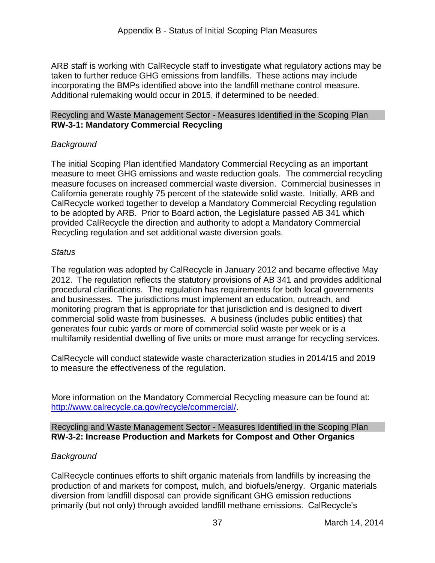ARB staff is working with CalRecycle staff to investigate what regulatory actions may be taken to further reduce GHG emissions from landfills. These actions may include incorporating the BMPs identified above into the landfill methane control measure. Additional rulemaking would occur in 2015, if determined to be needed.

#### Recycling and Waste Management Sector - Measures Identified in the Scoping Plan **RW-3-1: Mandatory Commercial Recycling**

## *Background*

 The initial Scoping Plan identified Mandatory Commercial Recycling as an important to be adopted by ARB. Prior to Board action, the Legislature passed AB 341 which measure to meet GHG emissions and waste reduction goals. The commercial recycling measure focuses on increased commercial waste diversion. Commercial businesses in California generate roughly 75 percent of the statewide solid waste. Initially, ARB and CalRecycle worked together to develop a Mandatory Commercial Recycling regulation provided CalRecycle the direction and authority to adopt a Mandatory Commercial Recycling regulation and set additional waste diversion goals.

#### *Status*

 The regulation was adopted by CalRecycle in January 2012 and became effective May 2012. The regulation reflects the statutory provisions of AB 341 and provides additional and businesses. The jurisdictions must implement an education, outreach, and multifamily residential dwelling of five units or more must arrange for recycling services. procedural clarifications. The regulation has requirements for both local governments monitoring program that is appropriate for that jurisdiction and is designed to divert commercial solid waste from businesses. A business (includes public entities) that generates four cubic yards or more of commercial solid waste per week or is a

CalRecycle will conduct statewide waste characterization studies in 2014/15 and 2019 to measure the effectiveness of the regulation.

 More information on the Mandatory Commercial Recycling measure can be found at: [http://www.calrecycle.ca.gov/recycle/commercial/.](http://www.calrecycle.ca.gov/recycle/commercial/)

Recycling and Waste Management Sector - Measures Identified in the Scoping Plan **RW-3-2: Increase Production and Markets for Compost and Other Organics** 

#### *Background*

 production of and markets for compost, mulch, and biofuels/energy. Organic materials diversion from landfill disposal can provide significant GHG emission reductions CalRecycle continues efforts to shift organic materials from landfills by increasing the primarily (but not only) through avoided landfill methane emissions. CalRecycle's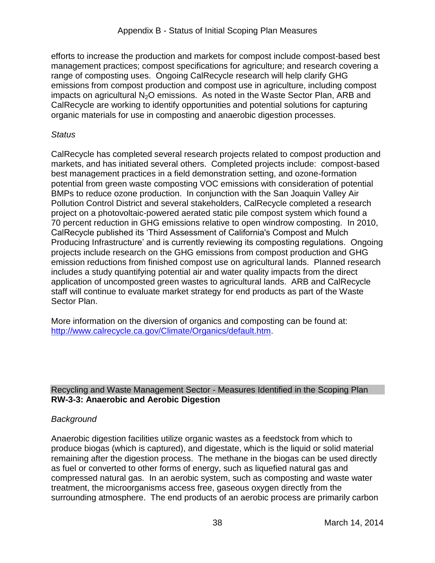efforts to increase the production and markets for compost include compost-based best emissions from compost production and compost use in agriculture, including compost organic materials for use in composting and anaerobic digestion processes. management practices; compost specifications for agriculture; and research covering a range of composting uses. Ongoing CalRecycle research will help clarify GHG impacts on agricultural N<sub>2</sub>O emissions. As noted in the Waste Sector Plan, ARB and CalRecycle are working to identify opportunities and potential solutions for capturing

#### *Status*

 CalRecycle has completed several research projects related to compost production and best management practices in a field demonstration setting, and ozone-formation BMPs to reduce ozone production. In conjunction with the San Joaquin Valley Air project on a photovoltaic-powered aerated static pile compost system which found a 70 percent reduction in GHG emissions relative to open windrow composting. In 2010, Producing Infrastructure' and is currently reviewing its composting regulations. Ongoing includes a study quantifying potential air and water quality impacts from the direct staff will continue to evaluate market strategy for end products as part of the Waste markets, and has initiated several others. Completed projects include: compost-based potential from green waste composting VOC emissions with consideration of potential Pollution Control District and several stakeholders, CalRecycle completed a research CalRecycle published its 'Third Assessment of California's Compost and Mulch projects include research on the GHG emissions from compost production and GHG emission reductions from finished compost use on agricultural lands. Planned research application of uncomposted green wastes to agricultural lands. ARB and CalRecycle Sector Plan.

 More information on the diversion of organics and composting can be found at: http://www.calrecycle.ca.gov/Climate/Organics/default.htm.

## Recycling and Waste Management Sector - Measures Identified in the Scoping Plan **RW-3-3: Anaerobic and Aerobic Digestion**

## *Background*

 Anaerobic digestion facilities utilize organic wastes as a feedstock from which to remaining after the digestion process. The methane in the biogas can be used directly compressed natural gas. In an aerobic system, such as [composting](http://en.wikipedia.org/wiki/Composting) and waste water treatment, the microorganisms access free, gaseous oxygen directly from the produce biogas (which is captured), and digestate, which is the liquid or solid material as fuel or converted to other forms of energy, such as liquefied natural gas and surrounding atmosphere. The end products of an aerobic process are primarily carbon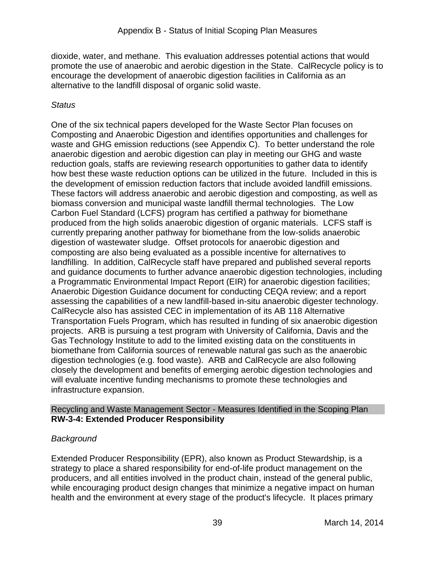promote the use of anaerobic and aerobic digestion in the State. CalRecycle policy is to dioxide, water, and methane. This evaluation addresses potential actions that would encourage the development of anaerobic digestion facilities in California as an alternative to the landfill disposal of organic solid waste.

## *Status*

 One of the six technical papers developed for the Waste Sector Plan focuses on waste and GHG emission reductions (see Appendix C). To better understand the role biomass conversion and municipal waste landfill thermal technologies. The Low produced from the high solids anaerobic digestion of organic materials. LCFS staff is landfilling. In addition, CalRecycle staff have prepared and published several reports a Programmatic Environmental Impact Report (EIR) for anaerobic digestion facilities; CalRecycle also has assisted CEC in implementation of its AB 118 Alternative projects. ARB is pursuing a test program with University of California, Davis and the Gas Technology Institute to add to the limited existing data on the constituents in Composting and Anaerobic Digestion and identifies opportunities and challenges for anaerobic digestion and aerobic digestion can play in meeting our GHG and waste reduction goals, staffs are reviewing research opportunities to gather data to identify how best these waste reduction options can be utilized in the future. Included in this is the development of emission reduction factors that include avoided landfill emissions. These factors will address anaerobic and aerobic digestion and composting, as well as Carbon Fuel Standard (LCFS) program has certified a pathway for biomethane currently preparing another pathway for biomethane from the low-solids anaerobic digestion of wastewater sludge. Offset protocols for anaerobic digestion and composting are also being evaluated as a possible incentive for alternatives to and guidance documents to further advance anaerobic digestion technologies, including Anaerobic Digestion Guidance document for conducting CEQA review; and a report assessing the capabilities of a new landfill-based in-situ anaerobic digester technology. Transportation Fuels Program, which has resulted in funding of six anaerobic digestion biomethane from California sources of renewable natural gas such as the anaerobic digestion technologies (e.g. food waste). ARB and CalRecycle are also following closely the development and benefits of emerging aerobic digestion technologies and will evaluate incentive funding mechanisms to promote these technologies and infrastructure expansion.

## Recycling and Waste Management Sector - Measures Identified in the Scoping Plan **RW-3-4: Extended Producer Responsibility**

## *Background*

 while encouraging product design changes that minimize a negative impact on human health and the environment at every stage of the product's lifecycle. It places primary Extended Producer Responsibility (EPR), also known as Product Stewardship, is a strategy to place a shared responsibility for end-of-life product management on the producers, and all entities involved in the product chain, instead of the general public,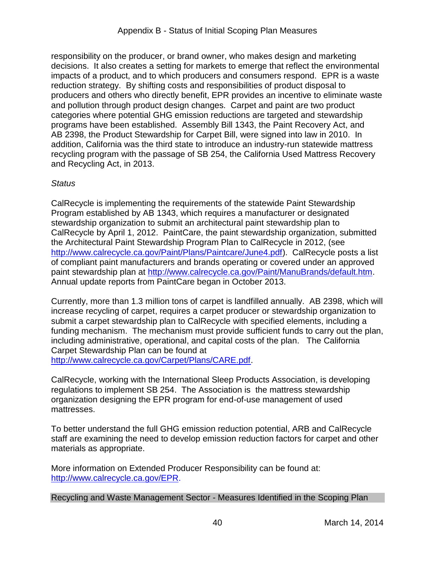responsibility on the producer, or brand owner, who makes design and marketing decisions. It also creates a setting for markets to emerge that reflect the environmental AB 2398, the Product Stewardship for Carpet Bill, were signed into law in 2010. In addition, California was the third state to introduce an industry-run statewide mattress recycling program with the passage of SB 254, the California Used Mattress Recovery and Recycling Act, in 2013. impacts of a product, and to which producers and consumers respond. EPR is a waste reduction strategy. By shifting costs and responsibilities of product disposal to producers and others who directly benefit, EPR provides an incentive to eliminate waste and pollution through product design changes. Carpet and paint are two product categories where potential GHG emission reductions are targeted and stewardship programs have been established. Assembly Bill 1343, the Paint Recovery Act, and

## *Status*

 stewardship organization to submit an architectural paint stewardship plan to CalRecycle by April 1, 2012. PaintCare, the paint stewardship organization, submitted CalRecycle is implementing the requirements of the statewide Paint Stewardship Program established by AB 1343, which requires a manufacturer or designated the Architectural Paint Stewardship Program Plan to CalRecycle in 2012, (see [http://www.calrecycle.ca.gov/Paint/Plans/Paintcare/June4.pdf\)](http://www.calrecycle.ca.gov/Paint/Plans/Paintcare/June4.pdf). CalRecycle posts a list of compliant paint manufacturers and brands operating or covered under an approved paint stewardship plan at [http://www.calrecycle.ca.gov/Paint/ManuBrands/default.htm.](http://www.calrecycle.ca.gov/Paint/ManuBrands/default.htm) Annual update reports from PaintCare began in October 2013.

 Currently, more than 1.3 million tons of carpet is landfilled annually. AB 2398, which will increase recycling of carpet, requires a carpet producer or stewardship organization to submit a carpet stewardship plan to CalRecycle with specified elements, including a funding mechanism. The mechanism must provide sufficient funds to carry out the plan, including administrative, operational, and capital costs of the plan. The California Carpet Stewardship Plan can be found at [http://www.calrecycle.ca.gov/Carpet/Plans/CARE.pdf.](http://www.calrecycle.ca.gov/Carpet/Plans/CARE.pdf)

 regulations to implement SB 254. The Association is the mattress stewardship CalRecycle, working with the International Sleep Products Association, is developing organization designing the EPR program for end-of-use management of used mattresses.

To better understand the full GHG emission reduction potential, ARB and CalRecycle staff are examining the need to develop emission reduction factors for carpet and other materials as appropriate.

 More information on Extended Producer Responsibility can be found at: http://www.calrecycle.ca.gov/EPR.

Recycling and Waste Management Sector - Measures Identified in the Scoping Plan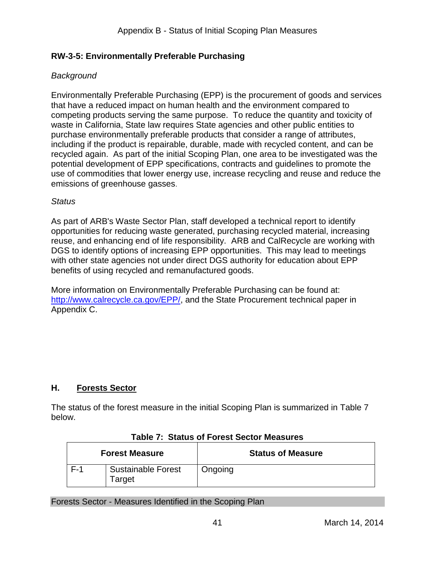## **RW-3-5: Environmentally Preferable Purchasing**

## *Background*

 that have a reduced impact on human health and the environment compared to competing products serving the same purpose. To reduce the quantity and toxicity of including if the product is repairable, durable, made with recycled content, and can be recycled again. As part of the initial Scoping Plan, one area to be investigated was the Environmentally Preferable Purchasing (EPP) is the procurement of goods and services waste in California, State law requires State agencies and other public entities to purchase environmentally preferable products that consider a range of attributes, potential development of EPP specifications, contracts and guidelines to promote the use of commodities that lower energy use, increase recycling and reuse and reduce the emissions of greenhouse gasses.

#### *Status*

 DGS to identify options of increasing EPP opportunities. This may lead to meetings As part of ARB's Waste Sector Plan, staff developed a technical report to identify opportunities for reducing waste generated, purchasing recycled material, increasing reuse, and enhancing end of life responsibility. ARB and CalRecycle are working with with other state agencies not under direct DGS authority for education about EPP benefits of using recycled and remanufactured goods.

 More information on Environmentally Preferable Purchasing can be found at: [http://www.calrecycle.ca.gov/EPP/,](http://www.calrecycle.ca.gov/EPP/) and the State Procurement technical paper in Appendix C.

## **H. Forests Sector**

 The status of the forest measure in the initial Scoping Plan is summarized in Table 7 below.

|       | <b>Forest Measure</b>               | <b>Status of Measure</b> |
|-------|-------------------------------------|--------------------------|
| $F-1$ | <b>Sustainable Forest</b><br>Target | Ongoing                  |

#### **Table 7: Status of Forest Sector Measures**

Forests Sector - Measures Identified in the Scoping Plan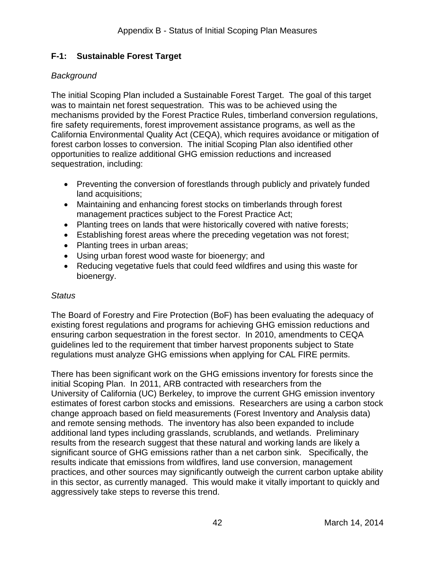## **F-1: Sustainable Forest Target**

## *Background*

 The initial Scoping Plan included a Sustainable Forest Target. The goal of this target was to maintain net forest sequestration. This was to be achieved using the opportunities to realize additional GHG emission reductions and increased mechanisms provided by the Forest Practice Rules, timberland conversion regulations, fire safety requirements, forest improvement assistance programs, as well as the California Environmental Quality Act (CEQA), which requires avoidance or mitigation of forest carbon losses to conversion. The initial Scoping Plan also identified other sequestration, including:

- Preventing the conversion of forestlands through publicly and privately funded land acquisitions;
- management practices subject to the Forest Practice Act; Maintaining and enhancing forest stocks on timberlands through forest
- Planting trees on lands that were historically covered with native forests;
- Establishing forest areas where the preceding vegetation was not forest;
- Planting trees in urban areas;
- Using urban forest wood waste for bioenergy; and
- Reducing vegetative fuels that could feed wildfires and using this waste for bioenergy.

#### *Status*

The Board of Forestry and Fire Protection (BoF) has been evaluating the adequacy of existing forest regulations and programs for achieving GHG emission reductions and ensuring carbon sequestration in the forest sector. In 2010, amendments to CEQA guidelines led to the requirement that timber harvest proponents subject to State regulations must analyze GHG emissions when applying for CAL FIRE permits.

 initial Scoping Plan. In 2011, ARB contracted with researchers from the University of California (UC) Berkeley, to improve the current GHG emission inventory change approach based on field measurements (Forest Inventory and Analysis data) and remote sensing methods. The inventory has also been expanded to include additional land types including grasslands, scrublands, and wetlands. Preliminary significant source of GHG emissions rather than a net carbon sink. Specifically, the practices, and other sources may significantly outweigh the current carbon uptake ability There has been significant work on the GHG emissions inventory for forests since the estimates of forest carbon stocks and emissions. Researchers are using a carbon stock results from the research suggest that these natural and working lands are likely a results indicate that emissions from wildfires, land use conversion, management in this sector, as currently managed. This would make it vitally important to quickly and aggressively take steps to reverse this trend.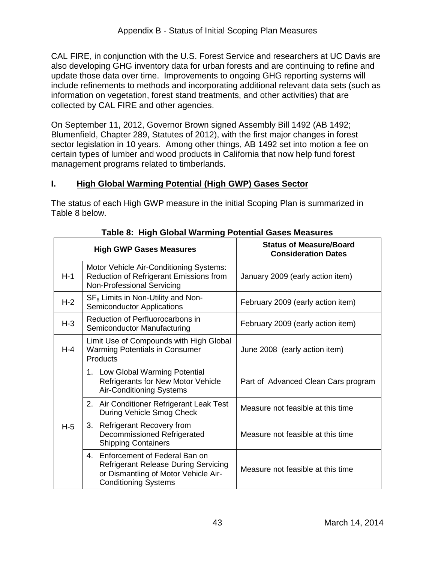also developing GHG inventory data for urban forests and are continuing to refine and update those data over time. Improvements to ongoing GHG reporting systems will collected by CAL FIRE and other agencies. CAL FIRE, in conjunction with the U.S. Forest Service and researchers at UC Davis are include refinements to methods and incorporating additional relevant data sets (such as information on vegetation, forest stand treatments, and other activities) that are

 sector legislation in 10 years. Among other things, AB 1492 set into motion a fee on certain types of lumber and wood products in California that now help fund forest On September 11, 2012, Governor Brown signed Assembly Bill 1492 (AB 1492; Blumenfield, Chapter 289, Statutes of 2012), with the first major changes in forest management programs related to timberlands.

## **I. High Global Warming Potential (High GWP) Gases Sector**

 The status of each High GWP measure in the initial Scoping Plan is summarized in Table 8 below.

|         | <b>High GWP Gases Measures</b>                                                                                                                            | <b>Status of Measure/Board</b><br><b>Consideration Dates</b> |
|---------|-----------------------------------------------------------------------------------------------------------------------------------------------------------|--------------------------------------------------------------|
| $H-1$   | Motor Vehicle Air-Conditioning Systems:<br>Reduction of Refrigerant Emissions from<br>Non-Professional Servicing                                          | January 2009 (early action item)                             |
| $H-2$   | $SF6$ Limits in Non-Utility and Non-<br><b>Semiconductor Applications</b>                                                                                 | February 2009 (early action item)                            |
| $H-3$   | Reduction of Perfluorocarbons in<br>Semiconductor Manufacturing                                                                                           | February 2009 (early action item)                            |
| $H - 4$ | Limit Use of Compounds with High Global<br><b>Warming Potentials in Consumer</b><br><b>Products</b>                                                       | June 2008 (early action item)                                |
|         | 1. Low Global Warming Potential<br>Refrigerants for New Motor Vehicle<br><b>Air-Conditioning Systems</b>                                                  | Part of Advanced Clean Cars program                          |
| $H-5$   | 2. Air Conditioner Refrigerant Leak Test<br>During Vehicle Smog Check                                                                                     | Measure not feasible at this time                            |
|         | 3.<br><b>Refrigerant Recovery from</b><br>Decommissioned Refrigerated<br><b>Shipping Containers</b>                                                       | Measure not feasible at this time                            |
|         | Enforcement of Federal Ban on<br>4.<br><b>Refrigerant Release During Servicing</b><br>or Dismantling of Motor Vehicle Air-<br><b>Conditioning Systems</b> | Measure not feasible at this time                            |

#### **Table 8: High Global Warming Potential Gases Measures**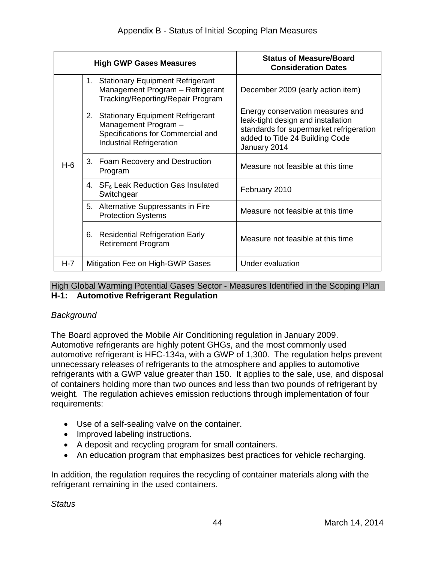|       | <b>High GWP Gases Measures</b>                                                                                                                | <b>Status of Measure/Board</b><br><b>Consideration Dates</b>                                                                                                         |
|-------|-----------------------------------------------------------------------------------------------------------------------------------------------|----------------------------------------------------------------------------------------------------------------------------------------------------------------------|
|       | <b>Stationary Equipment Refrigerant</b><br>1.<br>Management Program - Refrigerant<br>Tracking/Reporting/Repair Program                        | December 2009 (early action item)                                                                                                                                    |
|       | <b>Stationary Equipment Refrigerant</b><br>2.<br>Management Program -<br>Specifications for Commercial and<br><b>Industrial Refrigeration</b> | Energy conservation measures and<br>leak-tight design and installation<br>standards for supermarket refrigeration<br>added to Title 24 Building Code<br>January 2014 |
| $H-6$ | 3. Foam Recovery and Destruction<br>Program                                                                                                   | Measure not feasible at this time                                                                                                                                    |
|       | SF <sub>6</sub> Leak Reduction Gas Insulated<br>4.<br>Switchgear                                                                              | February 2010                                                                                                                                                        |
|       | 5.<br>Alternative Suppressants in Fire<br><b>Protection Systems</b>                                                                           | Measure not feasible at this time                                                                                                                                    |
|       | <b>Residential Refrigeration Early</b><br>6.<br><b>Retirement Program</b>                                                                     | Measure not feasible at this time                                                                                                                                    |
| H-7   | Mitigation Fee on High-GWP Gases                                                                                                              | Under evaluation                                                                                                                                                     |

#### High Global Warming Potential Gases Sector - Measures Identified in the Scoping Plan **H-1: Automotive Refrigerant Regulation**

#### *Background*

 The Board approved the Mobile Air Conditioning regulation in January 2009. automotive refrigerant is HFC-134a, with a GWP of 1,300. The regulation helps prevent unnecessary releases of refrigerants to the atmosphere and applies to automotive weight. The regulation achieves emission reductions through implementation of four Automotive refrigerants are highly potent GHGs, and the most commonly used refrigerants with a GWP value greater than 150. It applies to the sale, use, and disposal of containers holding more than two ounces and less than two pounds of refrigerant by requirements:

- Use of a self-sealing valve on the container.
- Improved labeling instructions.
- A deposit and recycling program for small containers.
- An education program that emphasizes best practices for vehicle recharging.

In addition, the regulation requires the recycling of container materials along with the refrigerant remaining in the used containers.

*Status*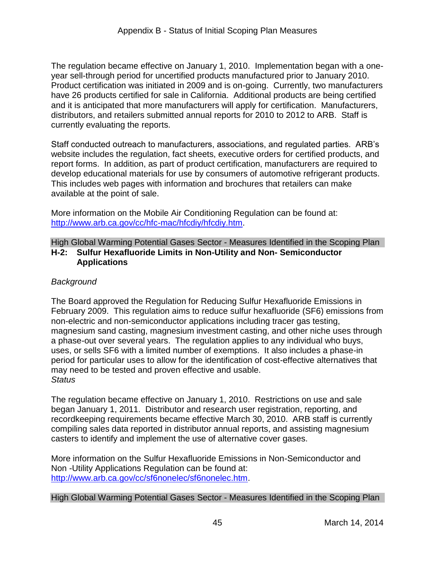Product certification was initiated in 2009 and is on-going. Currently, two manufacturers distributors, and retailers submitted annual reports for 2010 to 2012 to ARB. Staff is The regulation became effective on January 1, 2010. Implementation began with a oneyear sell-through period for uncertified products manufactured prior to January 2010. have 26 products certified for sale in California. Additional products are being certified and it is anticipated that more manufacturers will apply for certification. Manufacturers, currently evaluating the reports.

 Staff conducted outreach to manufacturers, associations, and regulated parties. ARB's develop educational materials for use by consumers of automotive refrigerant products.<br>This includes web pages with information and brochures that retailers can make This includes web pages with information and brochures that retailers can make available at the point of sale. website includes the regulation, fact sheets, executive orders for certified products, and report forms. In addition, as part of product certification, manufacturers are required to

available at the point of sale.<br>More information on the Mobile Air Conditioning Regulation can be found at: [http://www.arb.ca.gov/cc/hfc-mac/hfcdiy/hfcdiy.htm.](http://www.arb.ca.gov/cc/hfc-mac/hfcdiy/hfcdiy.htm)

#### High Global Warming Potential Gases Sector - Measures Identified in the Scoping Plan **H-2: Sulfur Hexafluoride Limits in Non-Utility and Non- Semiconductor Applications**

## *Background*

 February 2009. This regulation aims to reduce sulfur hexafluoride (SF6) emissions from uses, or sells SF6 with a limited number of exemptions. It also includes a phase-in may need to be tested and proven effective and usable. The Board approved the Regulation for Reducing Sulfur Hexafluoride Emissions in non-electric and non-semiconductor applications including tracer gas testing, magnesium sand casting, magnesium investment casting, and other niche uses through a phase-out over several years. The regulation applies to any individual who buys, period for particular uses to allow for the identification of cost-effective alternatives that *Status* 

 casters to identify and implement the use of alternative cover gases. The regulation became effective on January 1, 2010. Restrictions on use and sale began January 1, 2011. Distributor and research user registration, reporting, and recordkeeping requirements became effective March 30, 2010. ARB staff is currently compiling sales data reported in distributor annual reports, and assisting magnesium

 Non -Utility Applications Regulation can be found at: More information on the Sulfur Hexafluoride Emissions in Non-Semiconductor and [http://www.arb.ca.gov/cc/sf6nonelec/sf6nonelec.htm.](http://www.arb.ca.gov/cc/sf6nonelec/sf6nonelec.htm)

#### High Global Warming Potential Gases Sector - Measures Identified in the Scoping Plan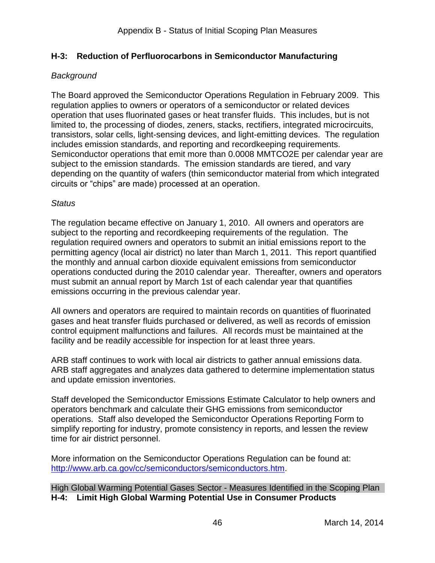## **H-3: Reduction of Perfluorocarbons in Semiconductor Manufacturing**

#### *Background*

 The Board approved the Semiconductor Operations Regulation in February 2009. This operation that uses fluorinated gases or heat transfer fluids. This includes, but is not transistors, solar cells, light-sensing devices, and light-emitting devices. The regulation includes emission standards, and reporting and recordkeeping requirements. subject to the emission standards. The emission standards are tiered, and vary circuits or "chips" are made) processed at an operation. regulation applies to owners or operators of a semiconductor or related devices limited to, the processing of diodes, zeners, stacks, rectifiers, integrated microcircuits, Semiconductor operations that emit more than 0.0008 MMTCO2E per calendar year are depending on the quantity of wafers (thin semiconductor material from which integrated

#### *Status*

 subject to the reporting and recordkeeping requirements of the regulation. The operations conducted during the 2010 calendar year. Thereafter, owners and operators emissions occurring in the previous calendar year. The regulation became effective on January 1, 2010. All owners and operators are regulation required owners and operators to submit an initial emissions report to the permitting agency (local air district) no later than March 1, 2011. This report quantified the monthly and annual carbon dioxide equivalent emissions from semiconductor must submit an annual report by March 1st of each calendar year that quantifies

 All owners and operators are required to maintain records on quantities of fluorinated gases and heat transfer fluids purchased or delivered, as well as records of emission control equipment malfunctions and failures. All records must be maintained at the facility and be readily accessible for inspection for at least three years.

 ARB staff aggregates and analyzes data gathered to determine implementation status ARB staff continues to work with local air districts to gather annual emissions data. and update emission inventories.

 operations. Staff also developed the Semiconductor Operations Reporting Form to Staff developed the Semiconductor Emissions Estimate Calculator to help owners and operators benchmark and calculate their GHG emissions from semiconductor simplify reporting for industry, promote consistency in reports, and lessen the review time for air district personnel.

 More information on the Semiconductor Operations Regulation can be found at: [http://www.arb.ca.gov/cc/semiconductors/semiconductors.htm.](http://www.arb.ca.gov/cc/semiconductors/semiconductors.htm)

High Global Warming Potential Gases Sector - Measures Identified in the Scoping Plan **H-4: Limit High Global Warming Potential Use in Consumer Products**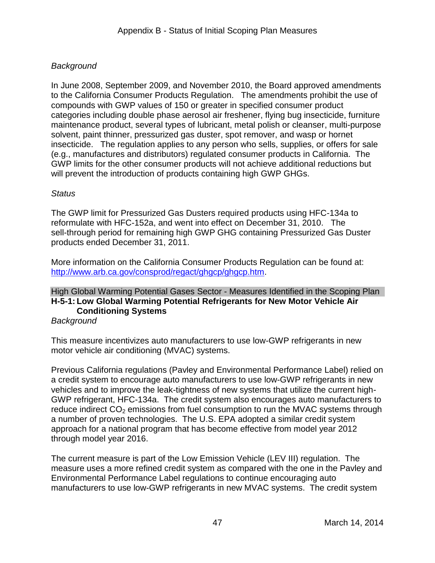## *Background*

 to the California Consumer Products Regulation. The amendments prohibit the use of insecticide. The regulation applies to any person who sells, supplies, or offers for sale (e.g., manufactures and distributors) regulated consumer products in California. The will prevent the introduction of products containing high GWP GHGs. In June 2008, September 2009, and November 2010, the Board approved amendments compounds with GWP values of 150 or greater in specified consumer product categories including double phase aerosol air freshener, flying bug insecticide, furniture maintenance product, several types of lubricant, metal polish or cleanser, multi-purpose solvent, paint thinner, pressurized gas duster, spot remover, and wasp or hornet GWP limits for the other consumer products will not achieve additional reductions but

## *Status*

 reformulate with HFC-152a, and went into effect on December 31, 2010. The products ended December 31, 2011. The GWP limit for Pressurized Gas Dusters required products using HFC-134a to sell-through period for remaining high GWP GHG containing Pressurized Gas Duster

products ended December 31, 2011.<br>More information on the California Consumer Products Regulation can be found at: [http://www.arb.ca.gov/consprod/regact/ghgcp/ghgcp.htm.](http://www.arb.ca.gov/consprod/regact/ghgcp/ghgcp.htm)

## High Global Warming Potential Gases Sector - Measures Identified in the Scoping Plan **H-5-1: Low Global Warming Potential Refrigerants for New Motor Vehicle Air Conditioning Systems**

#### *Background*

This measure incentivizes auto manufacturers to use low-GWP refrigerants in new motor vehicle air conditioning (MVAC) systems.

 a number of proven technologies. The U.S. EPA adopted a similar credit system Previous California regulations (Pavley and Environmental Performance Label) relied on a credit system to encourage auto manufacturers to use low-GWP refrigerants in new vehicles and to improve the leak-tightness of new systems that utilize the current high-GWP refrigerant, HFC-134a. The credit system also encourages auto manufacturers to reduce indirect  $CO<sub>2</sub>$  emissions from fuel consumption to run the MVAC systems through approach for a national program that has become effective from model year 2012 through model year 2016.

 The current measure is part of the Low Emission Vehicle (LEV III) regulation. The measure uses a more refined credit system as compared with the one in the Pavley and manufacturers to use low-GWP refrigerants in new MVAC systems. The credit system Environmental Performance Label regulations to continue encouraging auto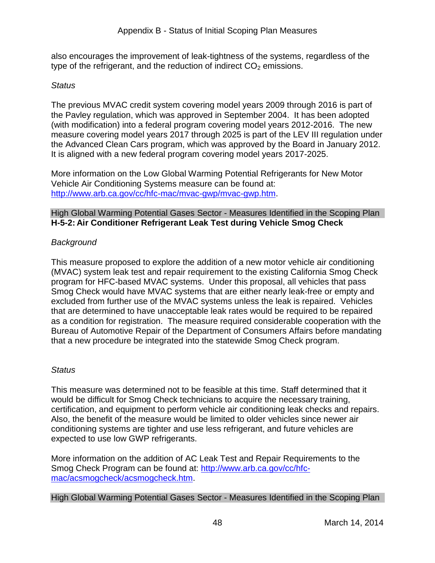type of the refrigerant, and the reduction of indirect  $CO<sub>2</sub>$  emissions. also encourages the improvement of leak-tightness of the systems, regardless of the

#### *Status*

 the Pavley regulation, which was approved in September 2004. It has been adopted (with modification) into a federal program covering model years 2012-2016. The new The previous MVAC credit system covering model years 2009 through 2016 is part of measure covering model years 2017 through 2025 is part of the LEV III regulation under the Advanced Clean Cars program, which was approved by the Board in January 2012. It is aligned with a new federal program covering model years 2017-2025.

 Vehicle Air Conditioning Systems measure can be found at: More information on the Low Global Warming Potential Refrigerants for New Motor [http://www.arb.ca.gov/cc/hfc-mac/mvac-gwp/mvac-gwp.htm.](http://www.arb.ca.gov/cc/hfc-mac/mvac-gwp/mvac-gwp.htm)

#### High Global Warming Potential Gases Sector - Measures Identified in the Scoping Plan **H-5-2: Air Conditioner Refrigerant Leak Test during Vehicle Smog Check**

## *Background*

 program for HFC-based MVAC systems. Under this proposal, all vehicles that pass excluded from further use of the MVAC systems unless the leak is repaired. Vehicles This measure proposed to explore the addition of a new motor vehicle air conditioning (MVAC) system leak test and repair requirement to the existing California Smog Check Smog Check would have MVAC systems that are either nearly leak-free or empty and that are determined to have unacceptable leak rates would be required to be repaired as a condition for registration. The measure required considerable cooperation with the Bureau of Automotive Repair of the Department of Consumers Affairs before mandating that a new procedure be integrated into the statewide Smog Check program.

#### *Status*

 This measure was determined not to be feasible at this time. Staff determined that it expected to use low GWP refrigerants. would be difficult for Smog Check technicians to acquire the necessary training, certification, and equipment to perform vehicle air conditioning leak checks and repairs. Also, the benefit of the measure would be limited to older vehicles since newer air conditioning systems are tighter and use less refrigerant, and future vehicles are

 More information on the addition of AC Leak Test and Repair Requirements to the Smog Check Program can be found at: [http://www.arb.ca.gov/cc/hfc](http://www.arb.ca.gov/cc/hfc-mac/acsmogcheck/acsmogcheck.htm)[mac/acsmogcheck/acsmogcheck.htm.](http://www.arb.ca.gov/cc/hfc-mac/acsmogcheck/acsmogcheck.htm)

#### High Global Warming Potential Gases Sector - Measures Identified in the Scoping Plan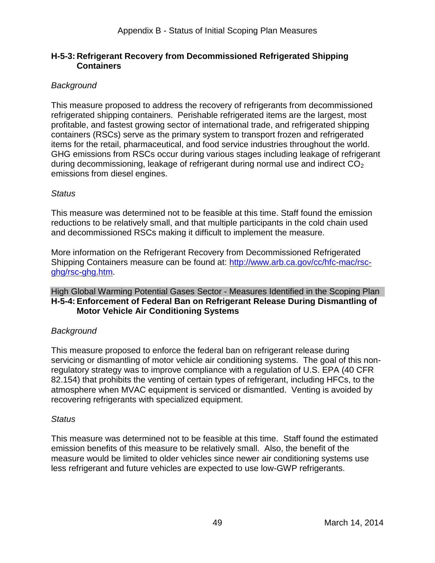#### **H-5-3: Refrigerant Recovery from Decommissioned Refrigerated Shipping Containers**

## *Background*

 items for the retail, pharmaceutical, and food service industries throughout the world. This measure proposed to address the recovery of refrigerants from decommissioned refrigerated shipping containers. Perishable refrigerated items are the largest, most profitable, and fastest growing sector of international trade, and refrigerated shipping containers (RSCs) serve as the primary system to transport frozen and refrigerated GHG emissions from RSCs occur during various stages including leakage of refrigerant during decommissioning, leakage of refrigerant during normal use and indirect  $CO<sub>2</sub>$ emissions from diesel engines.

#### *Status*

 This measure was determined not to be feasible at this time. Staff found the emission and decommissioned RSCs making it difficult to implement the measure. reductions to be relatively small, and that multiple participants in the cold chain used

Shipping Containers measure can be found at: [http://www.arb.ca.gov/cc/hfc-mac/rsc-](http://www.arb.ca.gov/cc/hfc-mac/rsc-ghg/rsc-ghg.htm)More information on the Refrigerant Recovery from Decommissioned Refrigerated [ghg/rsc-ghg.htm.](http://www.arb.ca.gov/cc/hfc-mac/rsc-ghg/rsc-ghg.htm)

#### High Global Warming Potential Gases Sector - Measures Identified in the Scoping Plan **H-5-4: Enforcement of Federal Ban on Refrigerant Release During Dismantling of Motor Vehicle Air Conditioning Systems**

#### *Background*

 This measure proposed to enforce the federal ban on refrigerant release during servicing or dismantling of motor vehicle air conditioning systems. The goal of this nonregulatory strategy was to improve compliance with a regulation of U.S. EPA (40 CFR 82.154) that prohibits the venting of certain types of refrigerant, including HFCs, to the atmosphere when MVAC equipment is serviced or dismantled. Venting is avoided by recovering refrigerants with specialized equipment.

#### *Status*

 This measure was determined not to be feasible at this time. Staff found the estimated less refrigerant and future vehicles are expected to use low-GWP refrigerants.<br>
49 March 14, 2014 emission benefits of this measure to be relatively small. Also, the benefit of the measure would be limited to older vehicles since newer air conditioning systems use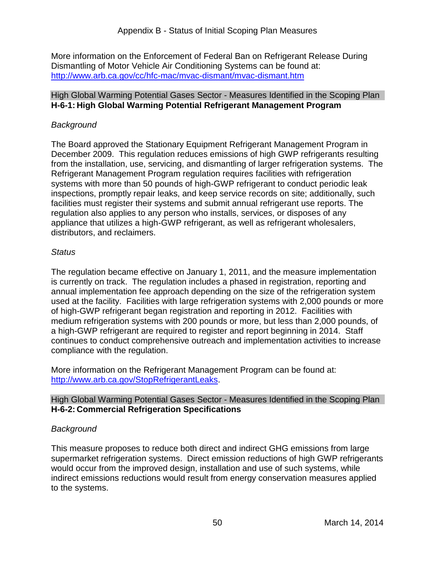Dismantling of Motor Vehicle Air Conditioning Systems can be found at: More information on the Enforcement of Federal Ban on Refrigerant Release During <http://www.arb.ca.gov/cc/hfc-mac/mvac-dismant/mvac-dismant.htm>

#### High Global Warming Potential Gases Sector - Measures Identified in the Scoping Plan **H-6-1: High Global Warming Potential Refrigerant Management Program**

## *Background*

 The Board approved the Stationary Equipment Refrigerant Management Program in from the installation, use, servicing, and dismantling of larger refrigeration systems. The systems with more than 50 pounds of high-GWP refrigerant to conduct periodic leak regulation also applies to any person who installs, services, or disposes of any December 2009. This regulation reduces emissions of high GWP refrigerants resulting Refrigerant Management Program regulation requires facilities with refrigeration inspections, promptly repair leaks, and keep service records on site; additionally, such facilities must register their systems and submit annual refrigerant use reports. The appliance that utilizes a high-GWP refrigerant, as well as refrigerant wholesalers, distributors, and reclaimers.

#### *Status*

 is currently on track. The regulation includes a phased in registration, reporting and used at the facility. Facilities with large refrigeration systems with 2,000 pounds or more The regulation became effective on January 1, 2011, and the measure implementation annual implementation fee approach depending on the size of the refrigeration system of high-GWP refrigerant began registration and reporting in 2012. Facilities with medium refrigeration systems with 200 pounds or more, but less than 2,000 pounds, of a high-GWP refrigerant are required to register and report beginning in 2014. Staff continues to conduct comprehensive outreach and implementation activities to increase compliance with the regulation.

 More information on the Refrigerant Management Program can be found at: http://www.arb.ca.gov/StopRefrigerantLeaks.

#### High Global Warming Potential Gases Sector - Measures Identified in the Scoping Plan **H-6-2: Commercial Refrigeration Specifications**

## *Background*

 This measure proposes to reduce both direct and indirect GHG emissions from large supermarket refrigeration systems. Direct emission reductions of high GWP refrigerants to the systems. would occur from the improved design, installation and use of such systems, while indirect emissions reductions would result from energy conservation measures applied to the systems.<br>
50 March 14, 2014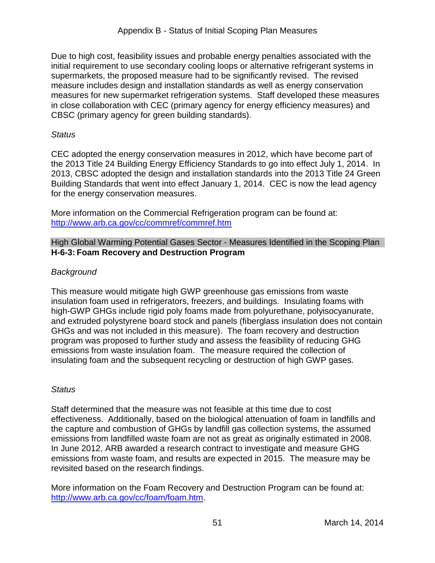measures for new supermarket refrigeration systems. Staff developed these measures Due to high cost, feasibility issues and probable energy penalties associated with the initial requirement to use secondary cooling loops or alternative refrigerant systems in supermarkets, the proposed measure had to be significantly revised. The revised measure includes design and installation standards as well as energy conservation in close collaboration with CEC (primary agency for energy efficiency measures) and CBSC (primary agency for green building standards).

#### *Status*

 the 2013 Title 24 Building Energy Efficiency Standards to go into effect July 1, 2014. In 2013, CBSC adopted the design and installation standards into the 2013 Title 24 Green for the energy conservation measures. CEC adopted the energy conservation measures in 2012, which have become part of Building Standards that went into effect January 1, 2014. CEC is now the lead agency

 More information on the Commercial Refrigeration program can be found at: <http://www.arb.ca.gov/cc/commref/commref.htm>

High Global Warming Potential Gases Sector - Measures Identified in the Scoping Plan **H-6-3: Foam Recovery and Destruction Program** 

## *Background*

 This measure would mitigate high GWP greenhouse gas emissions from waste high-GWP GHGs include rigid poly foams made from polyurethane, polyisocyanurate, and extruded polystyrene board stock and panels (fiberglass insulation does not contain emissions from waste insulation foam. The measure required the collection of insulation foam used in refrigerators, freezers, and buildings. Insulating foams with GHGs and was not included in this measure). The foam recovery and destruction program was proposed to further study and assess the feasibility of reducing GHG insulating foam and the subsequent recycling or destruction of high GWP gases.

## *Status*

 Staff determined that the measure was not feasible at this time due to cost effectiveness. Additionally, based on the biological attenuation of foam in landfills and the capture and combustion of GHGs by landfill gas collection systems, the assumed emissions from landfilled waste foam are not as great as originally estimated in 2008.<br>In June 2012, ARB awarded a research contract to investigate and measure GHG emissions from waste foam, and results are expected in 2015. The measure may be revisited based on the research findings.

 More information on the Foam Recovery and Destruction Program can be found at: [http://www.arb.ca.gov/cc/foam/foam.htm.](http://www.arb.ca.gov/cc/foam/foam.htm)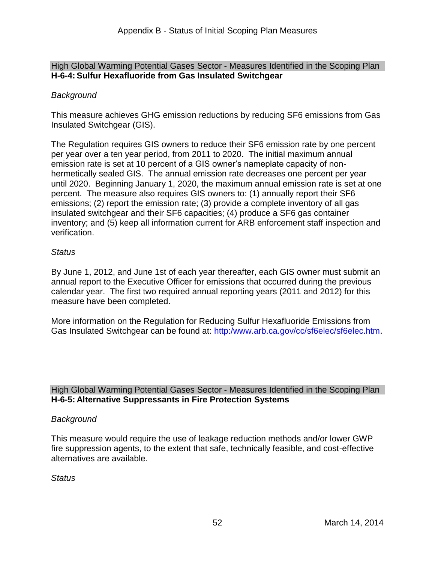#### High Global Warming Potential Gases Sector - Measures Identified in the Scoping Plan **H-6-4: Sulfur Hexafluoride from Gas Insulated Switchgear**

## *Background*

 This measure achieves GHG emission reductions by reducing SF6 emissions from Gas Insulated Switchgear (GIS).

 The Regulation requires GIS owners to reduce their SF6 emission rate by one percent until 2020. Beginning January 1, 2020, the maximum annual emission rate is set at one percent. The measure also requires GIS owners to: (1) annually report their SF6 inventory; and (5) keep all information current for ARB enforcement staff inspection and per year over a ten year period, from 2011 to 2020. The initial maximum annual emission rate is set at 10 percent of a GIS owner's nameplate capacity of nonhermetically sealed GIS. The annual emission rate decreases one percent per year emissions; (2) report the emission rate; (3) provide a complete inventory of all gas insulated switchgear and their SF6 capacities; (4) produce a SF6 gas container verification.

#### *Status*

By June 1, 2012, and June 1st of each year thereafter, each GIS owner must submit an annual report to the Executive Officer for emissions that occurred during the previous calendar year. The first two required annual reporting years (2011 and 2012) for this measure have been completed.

Gas Insulated Switchgear can be found at: [http:/www.arb.ca.gov/cc/sf6elec/sf6elec.htm.](http://www.arb.ca.gov/cc/sf6elec/sf6elec.htm) More information on the Regulation for Reducing Sulfur Hexafluoride Emissions from

High Global Warming Potential Gases Sector - Measures Identified in the Scoping Plan **H-6-5: Alternative Suppressants in Fire Protection Systems** 

#### *Background*

This measure would require the use of leakage reduction methods and/or lower GWP fire suppression agents, to the extent that safe, technically feasible, and cost-effective alternatives are available.

#### *Status*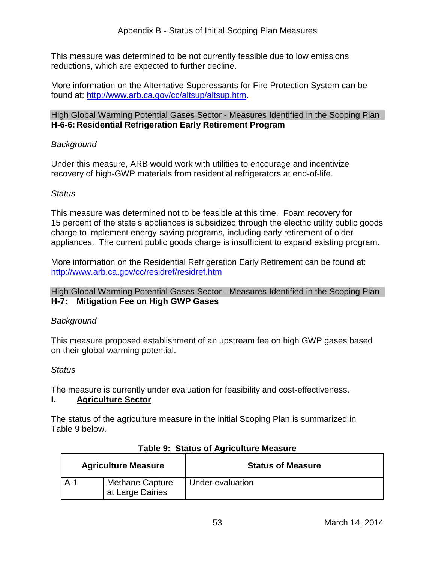reductions, which are expected to further decline. This measure was determined to be not currently feasible due to low emissions

 More information on the Alternative Suppressants for Fire Protection System can be found at: [http://www.arb.ca.gov/cc/altsup/altsup.htm.](http://www.arb.ca.gov/cc/altsup/altsup.htm)

#### High Global Warming Potential Gases Sector - Measures Identified in the Scoping Plan **H-6-6: Residential Refrigeration Early Retirement Program**

## *Background*

Under this measure, ARB would work with utilities to encourage and incentivize recovery of high-GWP materials from residential refrigerators at end-of-life.

## *Status*

 This measure was determined not to be feasible at this time. Foam recovery for 15 percent of the state's appliances is subsidized through the electric utility public goods charge to implement energy-saving programs, including early retirement of older appliances. The current public goods charge is insufficient to expand existing program.

More information on the Residential Refrigeration Early Retirement can be found at: <http://www.arb.ca.gov/cc/residref/residref.htm>

High Global Warming Potential Gases Sector - Measures Identified in the Scoping Plan **H-7: Mitigation Fee on High GWP Gases** 

## *Background*

 This measure proposed establishment of an upstream fee on high GWP gases based on their global warming potential.

## *Status*

The measure is currently under evaluation for feasibility and cost-effectiveness.

#### **I. Agriculture Sector**

 Table 9 below. The status of the agriculture measure in the initial Scoping Plan is summarized in

| <b>Agriculture Measure</b> |                                            | <b>Status of Measure</b> |
|----------------------------|--------------------------------------------|--------------------------|
| A-1                        | <b>Methane Capture</b><br>at Large Dairies | Under evaluation         |

#### **Table 9: Status of Agriculture Measure**